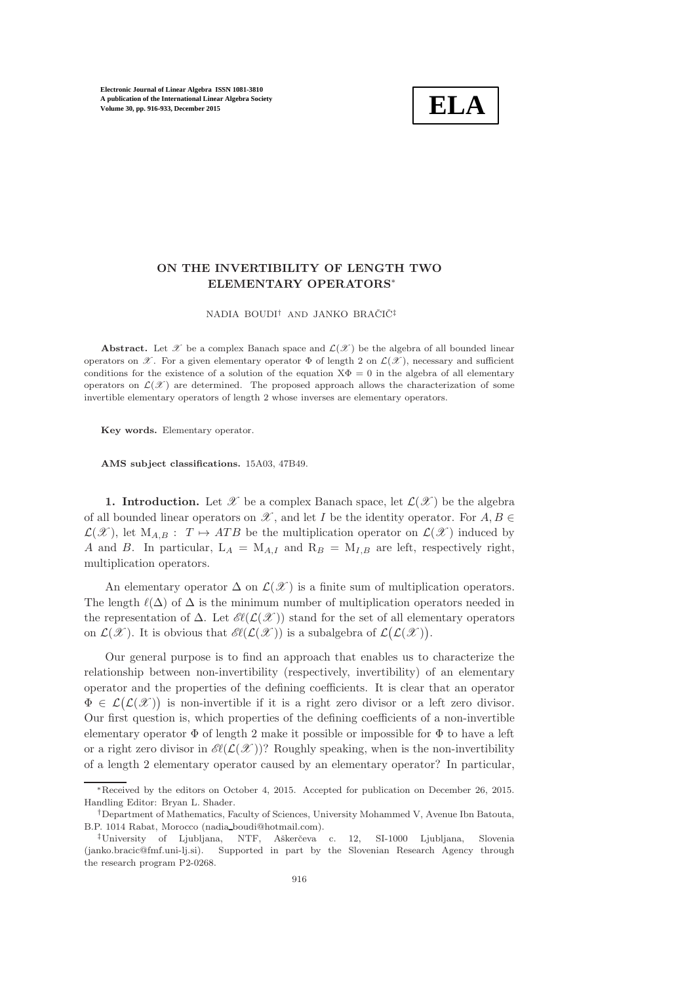

# ON THE INVERTIBILITY OF LENGTH TWO ELEMENTARY OPERATORS<sup>∗</sup>

NADIA BOUDI<sup>†</sup> AND JANKO BRAČIČ<sup>‡</sup>

Abstract. Let  $\mathscr X$  be a complex Banach space and  $\mathcal L(\mathscr X)$  be the algebra of all bounded linear operators on  $\mathscr X$ . For a given elementary operator  $\Phi$  of length 2 on  $\mathcal L(\mathscr X)$ , necessary and sufficient conditions for the existence of a solution of the equation  $X\Phi = 0$  in the algebra of all elementary operators on  $\mathcal{L}(\mathcal{X})$  are determined. The proposed approach allows the characterization of some invertible elementary operators of length 2 whose inverses are elementary operators.

Key words. Elementary operator.

AMS subject classifications. 15A03, 47B49.

1. Introduction. Let  $\mathscr X$  be a complex Banach space, let  $\mathcal L(\mathscr X)$  be the algebra of all bounded linear operators on  $\mathscr X$ , and let I be the identity operator. For  $A, B \in$  $\mathcal{L}(\mathcal{X})$ , let  $M_{A,B}: T \mapsto ATB$  be the multiplication operator on  $\mathcal{L}(\mathcal{X})$  induced by A and B. In particular,  $L_A = M_{A,I}$  and  $R_B = M_{I,B}$  are left, respectively right, multiplication operators.

An elementary operator  $\Delta$  on  $\mathcal{L}(\mathcal{X})$  is a finite sum of multiplication operators. The length  $\ell(\Delta)$  of  $\Delta$  is the minimum number of multiplication operators needed in the representation of  $\Delta$ . Let  $\mathscr{E}(\mathcal{L}(\mathscr{X}))$  stand for the set of all elementary operators on  $\mathcal{L}(\mathcal{X})$ . It is obvious that  $\mathscr{E}\!(\mathcal{L}(\mathcal{X}))$  is a subalgebra of  $\mathcal{L}(\mathcal{L}(\mathcal{X}))$ .

Our general purpose is to find an approach that enables us to characterize the relationship between non-invertibility (respectively, invertibility) of an elementary operator and the properties of the defining coefficients. It is clear that an operator  $\Phi \in \mathcal{L}(\mathcal{L}(\mathcal{X}))$  is non-invertible if it is a right zero divisor or a left zero divisor. Our first question is, which properties of the defining coefficients of a non-invertible elementary operator  $\Phi$  of length 2 make it possible or impossible for  $\Phi$  to have a left or a right zero divisor in  $\mathscr{E}(L(\mathscr{X}))$ ? Roughly speaking, when is the non-invertibility of a length 2 elementary operator caused by an elementary operator? In particular,

<sup>∗</sup>Received by the editors on October 4, 2015. Accepted for publication on December 26, 2015. Handling Editor: Bryan L. Shader.

<sup>†</sup>Department of Mathematics, Faculty of Sciences, University Mohammed V, Avenue Ibn Batouta, B.P. 1014 Rabat, Morocco (nadia boudi@hotmail.com).

<sup>‡</sup>University of Ljubljana, NTF, Aˇskerˇceva c. 12, SI-1000 Ljubljana, Slovenia (janko.bracic@fmf.uni-lj.si). Supported in part by the Slovenian Research Agency through the research program P2-0268.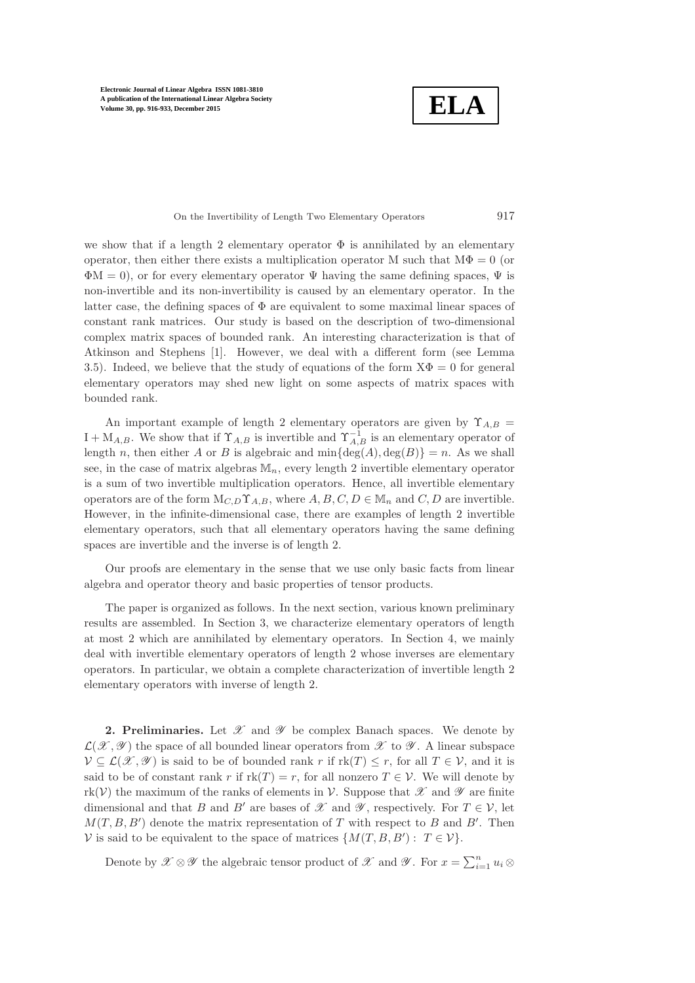**ELA**

On the Invertibility of Length Two Elementary Operators 917

we show that if a length 2 elementary operator  $\Phi$  is annihilated by an elementary operator, then either there exists a multiplication operator M such that  $M\Phi = 0$  (or  $\Phi M = 0$ ), or for every elementary operator  $\Psi$  having the same defining spaces,  $\Psi$  is non-invertible and its non-invertibility is caused by an elementary operator. In the latter case, the defining spaces of  $\Phi$  are equivalent to some maximal linear spaces of constant rank matrices. Our study is based on the description of two-dimensional complex matrix spaces of bounded rank. An interesting characterization is that of Atkinson and Stephens [\[1\]](#page-17-0). However, we deal with a different form (see Lemma [3.5\)](#page-4-0). Indeed, we believe that the study of equations of the form  $X\Phi = 0$  for general elementary operators may shed new light on some aspects of matrix spaces with bounded rank.

An important example of length 2 elementary operators are given by  $\Upsilon_{A,B}$  =  $I + M_{A,B}$ . We show that if  $\Upsilon_{A,B}$  is invertible and  $\Upsilon_{A,B}^{-1}$  is an elementary operator of length n, then either A or B is algebraic and  $min{deg(A), deg(B)} = n$ . As we shall see, in the case of matrix algebras  $M_n$ , every length 2 invertible elementary operator is a sum of two invertible multiplication operators. Hence, all invertible elementary operators are of the form  $M_{C,D} \Upsilon_{A,B}$ , where  $A, B, C, D \in M_n$  and  $C, D$  are invertible. However, in the infinite-dimensional case, there are examples of length 2 invertible elementary operators, such that all elementary operators having the same defining spaces are invertible and the inverse is of length 2.

Our proofs are elementary in the sense that we use only basic facts from linear algebra and operator theory and basic properties of tensor products.

The paper is organized as follows. In the next section, various known preliminary results are assembled. In Section [3,](#page-3-0) we characterize elementary operators of length at most 2 which are annihilated by elementary operators. In Section [4,](#page-11-0) we mainly deal with invertible elementary operators of length 2 whose inverses are elementary operators. In particular, we obtain a complete characterization of invertible length 2 elementary operators with inverse of length 2.

**2. Preliminaries.** Let  $\mathscr X$  and  $\mathscr Y$  be complex Banach spaces. We denote by  $\mathcal{L}(\mathcal{X}, \mathcal{Y})$  the space of all bounded linear operators from  $\mathcal{X}$  to  $\mathcal{Y}$ . A linear subspace  $V \subseteq \mathcal{L}(\mathcal{X}, \mathcal{Y})$  is said to be of bounded rank r if  $rk(T) \leq r$ , for all  $T \in \mathcal{V}$ , and it is said to be of constant rank r if  $rk(T) = r$ , for all nonzero  $T \in \mathcal{V}$ . We will denote by  $rk(V)$  the maximum of the ranks of elements in V. Suppose that X and Y are finite dimensional and that B and B' are bases of  $\mathscr X$  and  $\mathscr Y$ , respectively. For  $T \in \mathcal V$ , let  $M(T, B, B')$  denote the matrix representation of T with respect to B and B'. Then V is said to be equivalent to the space of matrices  $\{M(T, B, B') : T \in V\}.$ 

Denote by  $\mathscr{X} \otimes \mathscr{Y}$  the algebraic tensor product of  $\mathscr{X}$  and  $\mathscr{Y}$ . For  $x = \sum_{i=1}^{n} u_i \otimes$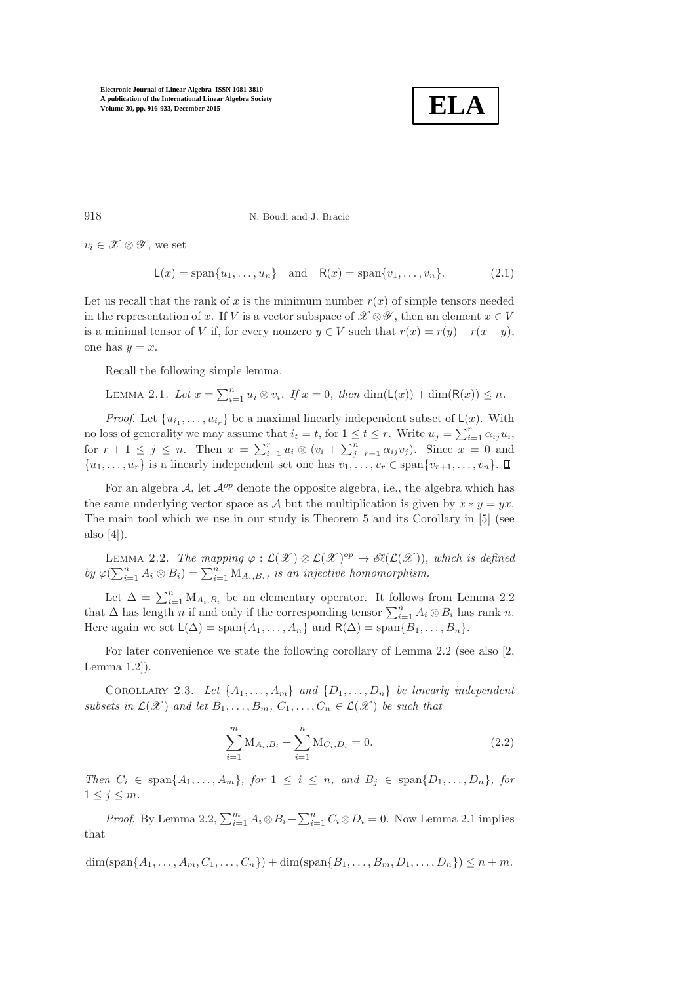

918 N. Boudi and J. Bračič

 $v_i \in \mathcal{X} \otimes \mathcal{Y}$ , we set

 $L(x) = \text{span}\{u_1, \ldots, u_n\}$  and  $R(x) = \text{span}\{v_1, \ldots, v_n\}.$  (2.1)

Let us recall that the rank of x is the minimum number  $r(x)$  of simple tensors needed in the representation of x. If V is a vector subspace of  $\mathscr{X} \otimes \mathscr{Y}$ , then an element  $x \in V$ is a minimal tensor of V if, for every nonzero  $y \in V$  such that  $r(x) = r(y) + r(x - y)$ , one has  $y = x$ .

<span id="page-2-1"></span>Recall the following simple lemma.

LEMMA 2.1. Let  $x = \sum_{i=1}^{n} u_i \otimes v_i$ . If  $x = 0$ , then  $\dim(L(x)) + \dim(R(x)) \leq n$ .

*Proof.* Let  $\{u_{i_1}, \ldots, u_{i_r}\}\)$  be a maximal linearly independent subset of  $\mathsf{L}(x)$ . With no loss of generality we may assume that  $i_t = t$ , for  $1 \le t \le r$ . Write  $u_j = \sum_{i=1}^r \alpha_{ij} u_i$ , for  $r + 1 \leq j \leq n$ . Then  $x = \sum_{i=1}^{r} u_i \otimes (v_i + \sum_{j=r+1}^{n} \alpha_{ij} v_j)$ . Since  $x = 0$  and  $\{u_1, \ldots, u_r\}$  is a linearly independent set one has  $v_1, \ldots, v_r \in \text{span}\{v_{r+1}, \ldots, v_n\}$ .  $\Box$ 

For an algebra  $A$ , let  $A^{op}$  denote the opposite algebra, i.e., the algebra which has the same underlying vector space as A but the multiplication is given by  $x * y = yx$ . The main tool which we use in our study is Theorem 5 and its Corollary in [\[5\]](#page-17-1) (see also [\[4\]](#page-17-2)).

<span id="page-2-0"></span>LEMMA 2.2. The mapping  $\varphi : \mathcal{L}(\mathcal{X}) \otimes \mathcal{L}(\mathcal{X})^{op} \to \mathscr{E}\ell(\mathcal{L}(\mathcal{X}))$ , which is defined by  $\varphi(\sum_{i=1}^n A_i \otimes B_i) = \sum_{i=1}^n M_{A_i, B_i}$ , is an injective homomorphism.

Let  $\Delta = \sum_{i=1}^{n} M_{A_i, B_i}$  be an elementary operator. It follows from Lemma [2.2](#page-2-0) that  $\Delta$  has length n if and only if the corresponding tensor  $\sum_{i=1}^{n} A_i \otimes B_i$  has rank n. Here again we set  $\mathsf{L}(\Delta) = \text{span}\{A_1, \ldots, A_n\}$  and  $\mathsf{R}(\Delta) = \text{span}\{B_1, \ldots, B_n\}$ 

<span id="page-2-2"></span>For later convenience we state the following corollary of Lemma [2.2](#page-2-0) (see also [\[2,](#page-17-3) Lemma 1.2]).

COROLLARY 2.3. Let  $\{A_1, \ldots, A_m\}$  and  $\{D_1, \ldots, D_n\}$  be linearly independent subsets in  $\mathcal{L}(\mathcal{X})$  and let  $B_1, \ldots, B_m, C_1, \ldots, C_n \in \mathcal{L}(\mathcal{X})$  be such that

$$
\sum_{i=1}^{m} M_{A_i, B_i} + \sum_{i=1}^{n} M_{C_i, D_i} = 0.
$$
\n(2.2)

Then  $C_i \in \text{span}\{A_1, \ldots, A_m\}$ , for  $1 \leq i \leq n$ , and  $B_j \in \text{span}\{D_1, \ldots, D_n\}$ , for  $1 \leq j \leq m$ .

*Proof.* By Lemma [2.2,](#page-2-0)  $\sum_{i=1}^{m} A_i \otimes B_i + \sum_{i=1}^{n} C_i \otimes D_i = 0$ . Now Lemma [2.1](#page-2-1) implies that

dim(span{ $A_1, ..., A_m, C_1, ..., C_n$ }) + dim(span{ $B_1, ..., B_m, D_1, ..., D_n$ })  $\leq n + m$ .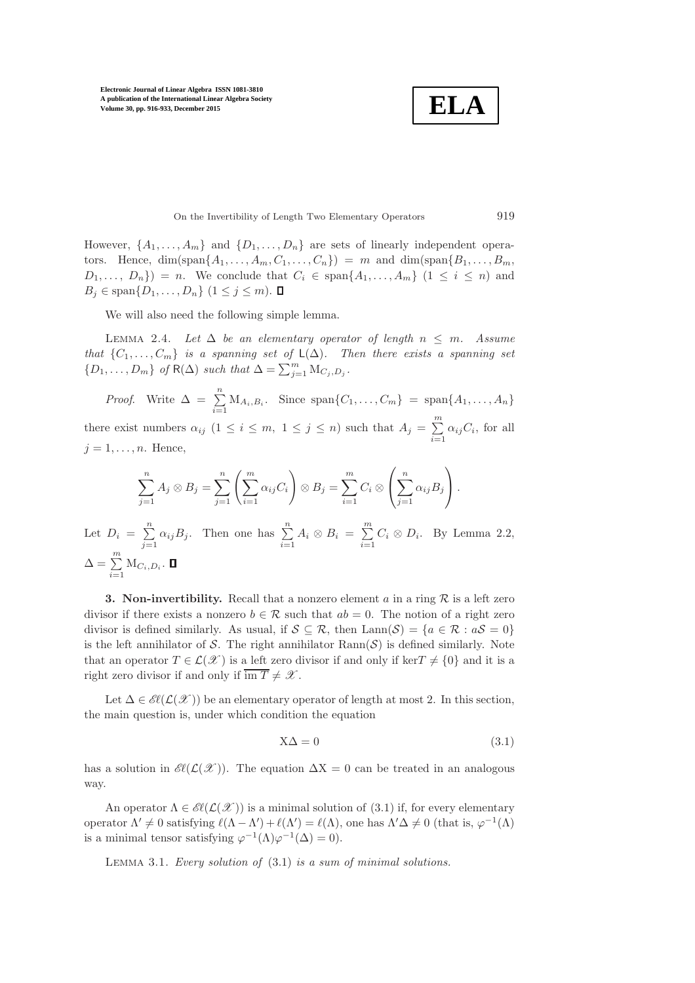$$
\boxed{\textbf{ELA}}
$$

On the Invertibility of Length Two Elementary Operators 919

However,  $\{A_1, \ldots, A_m\}$  and  $\{D_1, \ldots, D_n\}$  are sets of linearly independent operators. Hence,  $\dim(\text{span}\{A_1,\ldots,A_m,C_1,\ldots,C_n\}) = m$  and  $\dim(\text{span}\{B_1,\ldots,B_m,$  $D_1, \ldots, D_n\}$  = n. We conclude that  $C_i \in \text{span}\{A_1, \ldots, A_m\}$   $(1 \leq i \leq n)$  and  $B_j \in \text{span}\{D_1,\ldots,D_n\}$   $(1 \leq j \leq m)$ .

<span id="page-3-2"></span>We will also need the following simple lemma.

LEMMA 2.4. Let  $\Delta$  be an elementary operator of length  $n \leq m$ . Assume that  $\{C_1, \ldots, C_m\}$  is a spanning set of  $\mathsf{L}(\Delta)$ . Then there exists a spanning set  $\{D_1, \ldots, D_m\}$  of R( $\Delta$ ) such that  $\Delta = \sum_{j=1}^m M_{C_j, D_j}$ .

*Proof.* Write  $\Delta = \sum_{n=1}^{\infty}$  $\sum_{i=1} M_{A_i, B_i}$ . Since  $\text{span}\{C_1, ..., C_m\} = \text{span}\{A_1, ..., A_n\}$ there exist numbers  $\alpha_{ij}$   $(1 \leq i \leq m, 1 \leq j \leq n)$  such that  $A_j = \sum_{i=1}^{m}$  $\sum_{i=1} \alpha_{ij} C_i$ , for all  $j = 1, \ldots, n$ . Hence,

$$
\sum_{j=1}^{n} A_j \otimes B_j = \sum_{j=1}^{n} \left( \sum_{i=1}^{m} \alpha_{ij} C_i \right) \otimes B_j = \sum_{i=1}^{m} C_i \otimes \left( \sum_{j=1}^{n} \alpha_{ij} B_j \right).
$$

Let  $D_i = \sum_{i=1}^{n}$  $\sum_{j=1}^{n} \alpha_{ij} B_j$ . Then one has  $\sum_{i=1}^{n} A_i \otimes B_i = \sum_{i=1}^{m}$  $\sum_{i=1} C_i \otimes D_i$ . By Lemma [2.2,](#page-2-0)  $\Delta = \sum^{m}$  $\sum_{i=1}$  M<sub>C<sub>i</sub></sub>, D<sub>i</sub>.

<span id="page-3-0"></span>**3. Non-invertibility.** Recall that a nonzero element a in a ring  $\mathcal{R}$  is a left zero divisor if there exists a nonzero  $b \in \mathcal{R}$  such that  $ab = 0$ . The notion of a right zero divisor is defined similarly. As usual, if  $S \subseteq \mathcal{R}$ , then  $\text{Lann}(S) = \{a \in \mathcal{R} : aS = 0\}$ is the left annihilator of S. The right annihilator  $\text{Rann}(S)$  is defined similarly. Note that an operator  $T \in \mathcal{L}(\mathcal{X})$  is a left zero divisor if and only if ker $T \neq \{0\}$  and it is a right zero divisor if and only if  $\overline{\text{im } T} \neq \mathscr{X}$ .

Let  $\Delta \in \mathscr{E}\ell(\mathcal{L}(\mathscr{X}))$  be an elementary operator of length at most 2. In this section, the main question is, under which condition the equation

<span id="page-3-1"></span>
$$
X\Delta = 0\tag{3.1}
$$

has a solution in  $\mathscr{E}(\mathcal{L}(\mathscr{X}))$ . The equation  $\Delta X = 0$  can be treated in an analogous way.

An operator  $\Lambda \in \mathscr{E}( \mathcal{L}( \mathcal{X}) )$  is a minimal solution of [\(3.1\)](#page-3-1) if, for every elementary operator  $\Lambda' \neq 0$  satisfying  $\ell(\Lambda - \Lambda') + \ell(\Lambda') = \ell(\Lambda)$ , one has  $\Lambda' \Delta \neq 0$  (that is,  $\varphi^{-1}(\Lambda)$ ) is a minimal tensor satisfying  $\varphi^{-1}(\Lambda)\varphi^{-1}(\Delta) = 0$ .

LEMMA 3.1. Every solution of  $(3.1)$  is a sum of minimal solutions.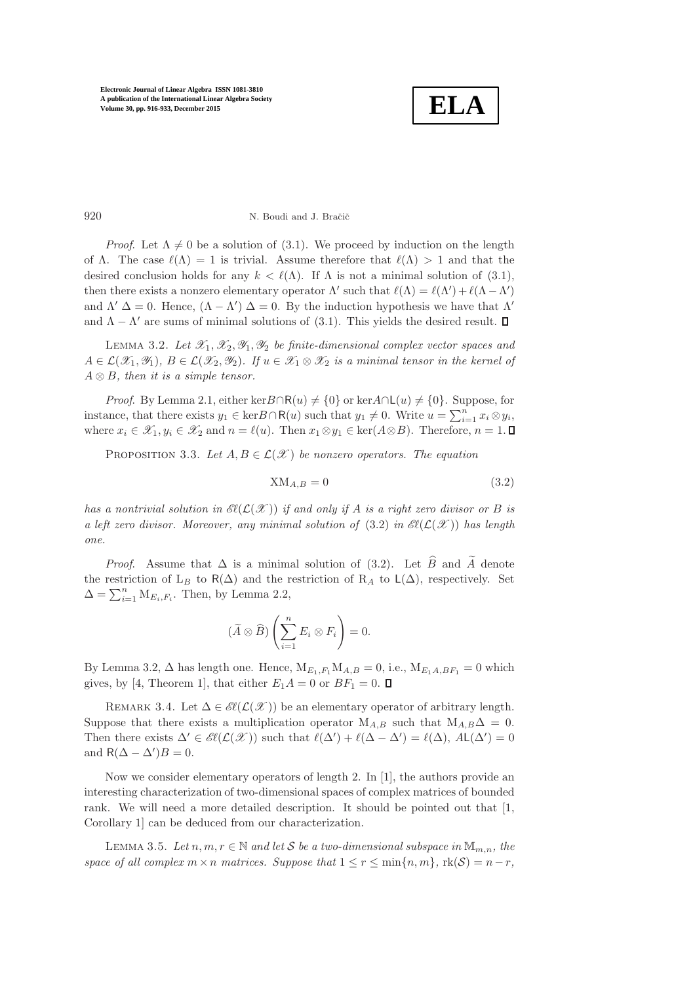

920 N. Boudi and J. Bračič

*Proof.* Let  $\Lambda \neq 0$  be a solution of [\(3.1\)](#page-3-1). We proceed by induction on the length of  $\Lambda$ . The case  $\ell(\Lambda) = 1$  is trivial. Assume therefore that  $\ell(\Lambda) > 1$  and that the desired conclusion holds for any  $k < \ell(\Lambda)$ . If  $\Lambda$  is not a minimal solution of [\(3.1\)](#page-3-1), then there exists a nonzero elementary operator  $\Lambda'$  such that  $\ell(\Lambda) = \ell(\Lambda') + \ell(\Lambda - \Lambda')$ and  $\Lambda'$   $\Delta = 0$ . Hence,  $(\Lambda - \Lambda')$   $\Delta = 0$ . By the induction hypothesis we have that  $\Lambda'$ and  $\Lambda - \Lambda'$  are sums of minimal solutions of [\(3.1\)](#page-3-1). This yields the desired result.

<span id="page-4-2"></span>LEMMA 3.2. Let  $\mathcal{X}_1, \mathcal{X}_2, \mathcal{Y}_1, \mathcal{Y}_2$  be finite-dimensional complex vector spaces and  $A \in \mathcal{L}(\mathscr{X}_1, \mathscr{Y}_1), B \in \mathcal{L}(\mathscr{X}_2, \mathscr{Y}_2).$  If  $u \in \mathscr{X}_1 \otimes \mathscr{X}_2$  is a minimal tensor in the kernel of  $A \otimes B$ , then it is a simple tensor.

<span id="page-4-3"></span>*Proof.* By Lemma [2.1,](#page-2-1) either ker $B \cap R(u) \neq \{0\}$  or ker $A \cap L(u) \neq \{0\}$ . Suppose, for instance, that there exists  $y_1 \in \text{ker} B \cap \mathsf{R}(u)$  such that  $y_1 \neq 0$ . Write  $u = \sum_{i=1}^n x_i \otimes y_i$ , where  $x_i \in \mathscr{X}_1, y_i \in \mathscr{X}_2$  and  $n = \ell(u)$ . Then  $x_1 \otimes y_1 \in \text{ker}(A \otimes B)$ . Therefore,  $n = 1$ .

PROPOSITION 3.3. Let  $A, B \in \mathcal{L}(\mathcal{X})$  be nonzero operators. The equation

<span id="page-4-1"></span>
$$
XM_{A,B} = 0
$$
\n
$$
(3.2)
$$

has a nontrivial solution in  $\mathscr{E}(\mathcal{L}(\mathcal{X}))$  if and only if A is a right zero divisor or B is a left zero divisor. Moreover, any minimal solution of  $(3.2)$  in  $\mathscr{E}(\mathcal{L}(\mathcal{X}))$  has length one.

*Proof.* Assume that  $\Delta$  is a minimal solution of [\(3.2\)](#page-4-1). Let  $\widehat{B}$  and  $\widetilde{A}$  denote the restriction of L<sub>B</sub> to R( $\Delta$ ) and the restriction of R<sub>A</sub> to L( $\Delta$ ), respectively. Set  $\Delta = \sum_{i=1}^{n} M_{E_i, F_i}$ . Then, by Lemma [2.2,](#page-2-0)

$$
(\widetilde{A}\otimes \widehat{B})\left(\sum_{i=1}^n E_i\otimes F_i\right)=0.
$$

By Lemma [3.2,](#page-4-2)  $\Delta$  has length one. Hence,  $M_{E_1,F_1}M_{A,B} = 0$ , i.e.,  $M_{E_1A,BF_1} = 0$  which gives, by [\[4,](#page-17-2) Theorem 1], that either  $E_1A = 0$  or  $BF_1 = 0$ .

REMARK 3.4. Let  $\Delta \in \mathcal{E}(\mathcal{L}(\mathcal{X}))$  be an elementary operator of arbitrary length. Suppose that there exists a multiplication operator  $M_{A,B}$  such that  $M_{A,B}\Delta = 0$ . Then there exists  $\Delta' \in \mathscr{E}\ell(\mathcal{L}(\mathcal{X}))$  such that  $\ell(\Delta') + \ell(\Delta - \Delta') = \ell(\Delta)$ ,  $A\mathsf{L}(\Delta') = 0$ and  $R(\Delta - \Delta')B = 0$ .

Now we consider elementary operators of length 2. In [\[1\]](#page-17-0), the authors provide an interesting characterization of two-dimensional spaces of complex matrices of bounded rank. We will need a more detailed description. It should be pointed out that [\[1,](#page-17-0) Corollary 1] can be deduced from our characterization.

<span id="page-4-0"></span>LEMMA 3.5. Let  $n, m, r \in \mathbb{N}$  and let S be a two-dimensional subspace in  $\mathbb{M}_{m,n}$ , the space of all complex  $m \times n$  matrices. Suppose that  $1 \leq r \leq \min\{n, m\}$ ,  $\text{rk}(\mathcal{S}) = n - r$ ,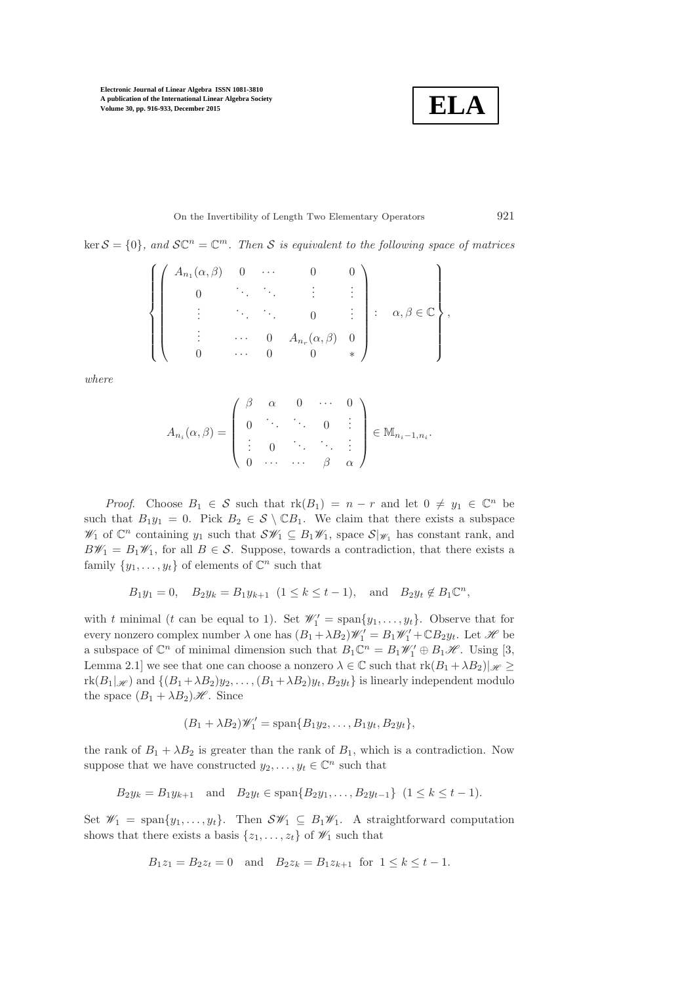

On the Invertibility of Length Two Elementary Operators 921

 $\ker S = \{0\}$ , and  $S\mathbb{C}^n = \mathbb{C}^m$ . Then S is equivalent to the following space of matrices

$$
\left\{\left(\begin{array}{cccccc} A_{n_1}(\alpha,\beta) & 0 & \cdots & 0 & 0 \\ 0 & \ddots & \ddots & \vdots & \vdots \\ \vdots & \ddots & \ddots & 0 & \vdots \\ \vdots & \cdots & 0 & A_{n_r}(\alpha,\beta) & 0 \\ 0 & \cdots & 0 & 0 & * \end{array}\right): \alpha,\beta \in \mathbb{C}\right\},\
$$

where

$$
A_{n_i}(\alpha,\beta) = \left( \begin{array}{cccc} \beta & \alpha & 0 & \cdots & 0 \\ 0 & \ddots & \ddots & 0 & \vdots \\ \vdots & 0 & \ddots & \ddots & \vdots \\ 0 & \cdots & \cdots & \beta & \alpha \end{array} \right) \in \mathbb{M}_{n_i-1,n_i}.
$$

*Proof.* Choose  $B_1 \in S$  such that  $rk(B_1) = n - r$  and let  $0 \neq y_1 \in \mathbb{C}^n$  be such that  $B_1y_1 = 0$ . Pick  $B_2 \in \mathcal{S} \setminus \mathbb{C}B_1$ . We claim that there exists a subspace  $\mathscr{W}_1$  of  $\mathbb{C}^n$  containing  $y_1$  such that  $\mathcal{SW}_1 \subseteq B_1\mathscr{W}_1$ , space  $\mathcal{S}|_{\mathscr{W}_1}$  has constant rank, and  $B\mathscr{W}_1 = B_1\mathscr{W}_1$ , for all  $B \in \mathcal{S}$ . Suppose, towards a contradiction, that there exists a family  $\{y_1, \ldots, y_t\}$  of elements of  $\mathbb{C}^n$  such that

$$
B_1y_1 = 0
$$
,  $B_2y_k = B_1y_{k+1}$   $(1 \le k \le t - 1)$ , and  $B_2y_t \notin B_1\mathbb{C}^n$ ,

with t minimal (t can be equal to 1). Set  $\mathscr{W}'_1 = \text{span}\{y_1, \ldots, y_t\}$ . Observe that for every nonzero complex number  $\lambda$  one has  $(B_1 + \lambda B_2)\mathscr{W}'_1 = B_1\mathscr{W}'_1 + \mathbb{C}B_2y_t$ . Let  $\mathscr{H}$  be a subspace of  $\mathbb{C}^n$  of minimal dimension such that  $B_1\mathbb{C}^n = B_1\mathscr{W}_1' \oplus B_1\mathscr{H}$ . Using [\[3,](#page-17-4) Lemma 2.1] we see that one can choose a nonzero  $\lambda \in \mathbb{C}$  such that  $\text{rk}(B_1 + \lambda B_2)|_{\mathscr{H}} \geq$  $rk(B_1|\mathscr{H})$  and  $\{(B_1+\lambda B_2)y_2,\ldots,(B_1+\lambda B_2)y_t,B_2y_t\}$  is linearly independent modulo the space  $(B_1 + \lambda B_2)\mathscr{H}$ . Since

$$
(B_1 + \lambda B_2)\mathscr{W}'_1 = \text{span}\{B_1y_2,\ldots,B_1y_t,B_2y_t\},\
$$

the rank of  $B_1 + \lambda B_2$  is greater than the rank of  $B_1$ , which is a contradiction. Now suppose that we have constructed  $y_2, \ldots, y_t \in \mathbb{C}^n$  such that

$$
B_2y_k = B_1y_{k+1}
$$
 and  $B_2y_t \in \text{span}\{B_2y_1,\ldots,B_2y_{t-1}\} \ (1 \le k \le t-1).$ 

Set  $\mathscr{W}_1$  = span $\{y_1,\ldots,y_t\}$ . Then  $\mathcal{SW}_1 \subseteq B_1\mathscr{W}_1$ . A straightforward computation shows that there exists a basis  $\{z_1, \ldots, z_t\}$  of  $\mathscr{W}_1$  such that

$$
B_1z_1 = B_2z_t = 0
$$
 and  $B_2z_k = B_1z_{k+1}$  for  $1 \le k \le t - 1$ .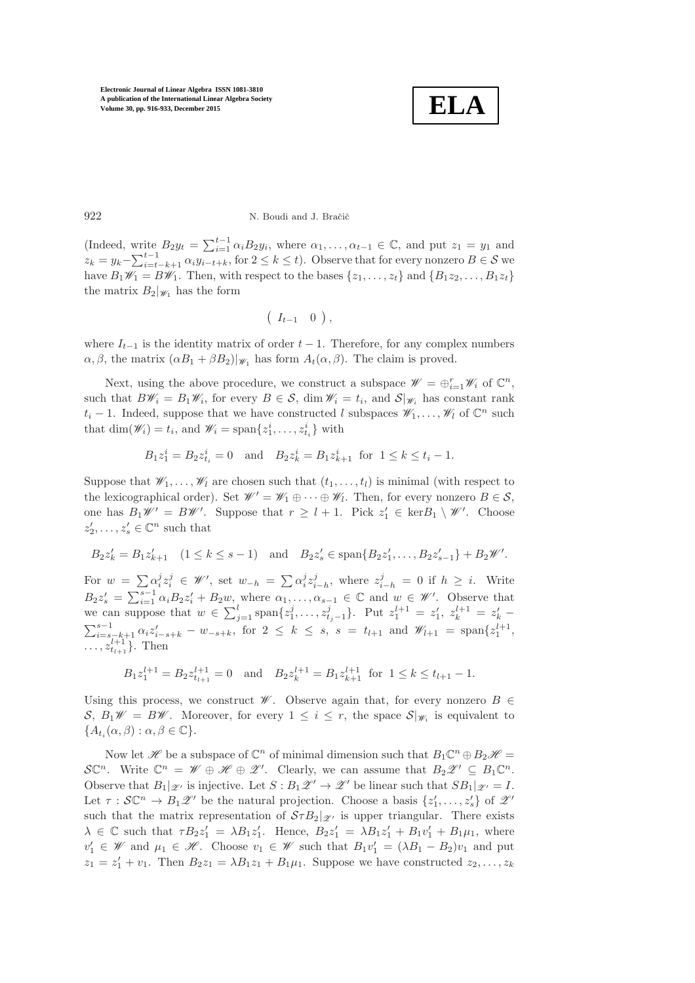

## 922 N. Boudi and J. Bračič

(Indeed, write  $B_2y_t = \sum_{i=1}^{t-1} \alpha_i B_2y_i$ , where  $\alpha_1, \dots, \alpha_{t-1} \in \mathbb{C}$ , and put  $z_1 = y_1$  and  $z_k = y_k - \sum_{i=t-k+1}^{t-1} \alpha_i y_{i-t+k}$ , for  $2 \le k \le t$ ). Observe that for every nonzero  $B \in \mathcal{S}$  we have  $B_1\mathscr{W}_1 = B\mathscr{W}_1$ . Then, with respect to the bases  $\{z_1, \ldots, z_t\}$  and  $\{B_1z_2, \ldots, B_1z_t\}$ the matrix  $B_2|\mathscr{W}_1$  has the form

$$
\left(\begin{array}{cc} I_{t-1} & 0 \end{array}\right),
$$

where  $I_{t-1}$  is the identity matrix of order  $t-1$ . Therefore, for any complex numbers  $\alpha, \beta$ , the matrix  $(\alpha B_1 + \beta B_2)|_{\mathscr{W}_1}$  has form  $A_t(\alpha, \beta)$ . The claim is proved.

Next, using the above procedure, we construct a subspace  $\mathscr{W} = \bigoplus_{i=1}^r \mathscr{W}_i$  of  $\mathbb{C}^n$ , such that  $B\mathscr{W}_i = B_1\mathscr{W}_i$ , for every  $B \in \mathcal{S}$ , dim  $\mathscr{W}_i = t_i$ , and  $\mathcal{S}|_{\mathscr{W}_i}$  has constant rank  $t_i - 1$ . Indeed, suppose that we have constructed l subspaces  $\mathscr{W}_1, \ldots, \mathscr{W}_l$  of  $\mathbb{C}^n$  such that  $\dim(\mathscr{W}_i) = t_i$ , and  $\mathscr{W}_i = \text{span}\{z_1^i, \ldots, z_{t_i}^i\}$  with

$$
B_1 z_1^i = B_2 z_{t_i}^i = 0
$$
 and  $B_2 z_k^i = B_1 z_{k+1}^i$  for  $1 \le k \le t_i - 1$ .

Suppose that  $\mathscr{W}_1, \ldots, \mathscr{W}_l$  are chosen such that  $(t_1, \ldots, t_l)$  is minimal (with respect to the lexicographical order). Set  $\mathscr{W}' = \mathscr{W}_1 \oplus \cdots \oplus \mathscr{W}_l$ . Then, for every nonzero  $B \in \mathcal{S}$ , one has  $B_1 \mathscr{W}' = B \mathscr{W}'$ . Suppose that  $r \geq l+1$ . Pick  $z'_1 \in \text{ker} B_1 \setminus \mathscr{W}'$ . Choose  $z'_2, \ldots, z'_s \in \mathbb{C}^n$  such that

$$
B_2 z'_k = B_1 z'_{k+1} \quad (1 \le k \le s-1) \quad \text{and} \quad B_2 z'_s \in \text{span}\{B_2 z'_1, \dots, B_2 z'_{s-1}\} + B_2 \mathscr{W}'.
$$

For  $w = \sum \alpha_i^j z_i^j \in \mathcal{W}'$ , set  $w_{-h} = \sum \alpha_i^j z_{i-h}^j$ , where  $z_{i-h}^j = 0$  if  $h \geq i$ . Write  $B_2 z'_s = \sum_{i=1}^{s-1} \alpha_i B_2 z'_i + B_2 w$ , where  $\alpha_1, \dots, \alpha_{s-1} \in \mathbb{C}$  and  $w \in \mathscr{W}'$ . Observe that we can suppose that  $w \in \sum_{j=1}^{l} \text{span}\{z_1^j, \ldots, z_{t_j-1}^j\}$ . Put  $z_1^{l+1} = z_1^{\prime}, z_k^{l+1} = z_k^{\prime}$  $\sum_{i=s-k+1}^{s-1} \alpha_i z'_{i-s+k} - w_{-s+k}$ , for  $2 \le k \le s$ ,  $s = t_{l+1}$  and  $\mathscr{W}_{l+1} = \text{span}\{z_1^{l+1}, \dots, z_{l+1}^{l+1}\}$  $\ldots, z_{t_{l+1}}^{l+1}$ . Then

$$
B_1 z_1^{l+1} = B_2 z_{t_{l+1}}^{l+1} = 0
$$
 and  $B_2 z_k^{l+1} = B_1 z_{k+1}^{l+1}$  for  $1 \le k \le t_{l+1} - 1$ .

Using this process, we construct  $\mathscr W$ . Observe again that, for every nonzero  $B \in$  $S, B_1 \mathscr{W} = B \mathscr{W}$ . Moreover, for every  $1 \leq i \leq r$ , the space  $S|_{\mathscr{W}_i}$  is equivalent to  ${A_{t_i}(\alpha, \beta) : \alpha, \beta \in \mathbb{C}}.$ 

Now let  $\mathscr H$  be a subspace of  $\mathbb C^n$  of minimal dimension such that  $B_1\mathbb C^n\oplus B_2\mathscr H=$  $\mathcal{S}\mathbb{C}^n$ . Write  $\mathbb{C}^n = \mathscr{W} \oplus \mathscr{H} \oplus \mathscr{Z}'$ . Clearly, we can assume that  $B_2\mathscr{Z}' \subseteq B_1\mathbb{C}^n$ . Observe that  $B_1|_{\mathscr{Z}'}$  is injective. Let  $S : B_1 \mathscr{Z}' \to \mathscr{Z}'$  be linear such that  $SB_1|_{\mathscr{Z}'} = I$ . Let  $\tau: \mathcal{SC}^n \to B_1 \mathscr{Z}'$  be the natural projection. Choose a basis  $\{z'_1, \ldots, z'_s\}$  of  $\mathscr{Z}'$ such that the matrix representation of  $S_{\tau}B_2|_{\mathscr{Z}'}$  is upper triangular. There exists  $\lambda \in \mathbb{C}$  such that  $\tau B_2 z_1' = \lambda B_1 z_1'$ . Hence,  $B_2 z_1' = \lambda B_1 z_1' + B_1 v_1' + B_1 \mu_1$ , where  $v'_1 \in \mathscr{W}$  and  $\mu_1 \in \mathscr{H}$ . Choose  $v_1 \in \mathscr{W}$  such that  $B_1v'_1 = (\lambda B_1 - B_2)v_1$  and put  $z_1 = z_1' + v_1$ . Then  $B_2 z_1 = \lambda B_1 z_1 + B_1 \mu_1$ . Suppose we have constructed  $z_2, \ldots, z_k$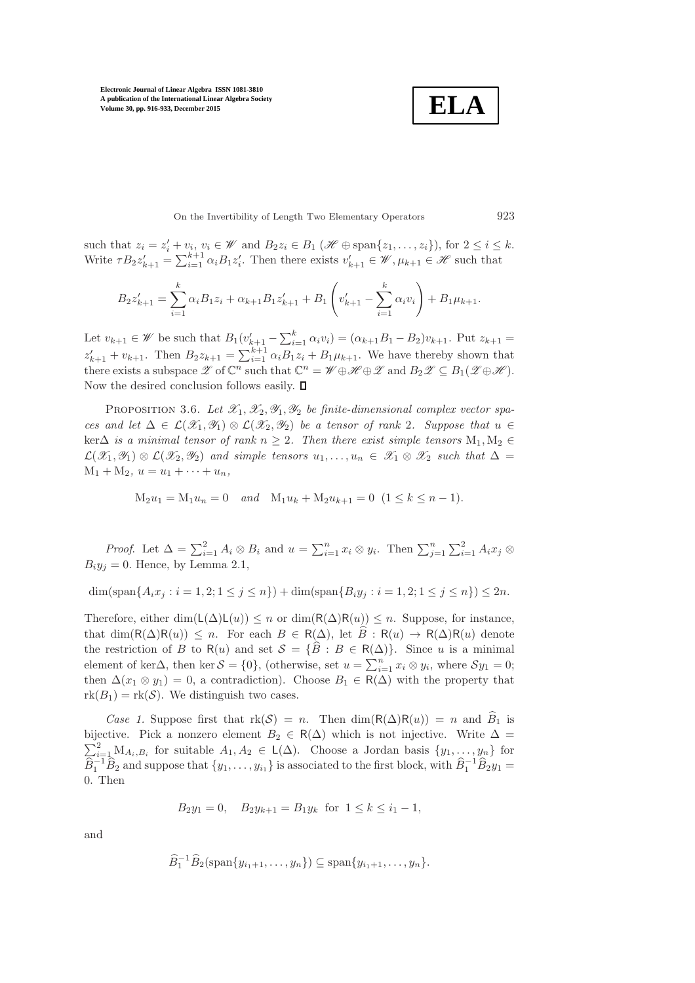**ELA**

On the Invertibility of Length Two Elementary Operators 923

such that  $z_i = z'_i + v_i$ ,  $v_i \in \mathcal{W}$  and  $B_2 z_i \in B_1$   $(\mathcal{H} \oplus \text{span}\{z_1, \ldots, z_i\})$ , for  $2 \leq i \leq k$ . Write  $\tau B_2 z'_{k+1} = \sum_{i=1}^{k+1} \alpha_i B_1 z'_i$ . Then there exists  $v'_{k+1} \in \mathcal{W}, \mu_{k+1} \in \mathcal{H}$  such that

$$
B_2 z'_{k+1} = \sum_{i=1}^k \alpha_i B_1 z_i + \alpha_{k+1} B_1 z'_{k+1} + B_1 \left( v'_{k+1} - \sum_{i=1}^k \alpha_i v_i \right) + B_1 \mu_{k+1}.
$$

Let  $v_{k+1} \in \mathscr{W}$  be such that  $B_1(v'_{k+1} - \sum_{i=1}^k \alpha_i v_i) = (\alpha_{k+1}B_1 - B_2)v_{k+1}$ . Put  $z_{k+1} =$  $z'_{k+1} + v_{k+1}$ . Then  $B_2 z_{k+1} = \sum_{i=1}^{k+1} \alpha_i B_1 z_i + B_1 \mu_{k+1}$ . We have thereby shown that there exists a subspace  $\mathscr Z$  of  $\mathbb C^n$  such that  $\mathbb C^n = \mathscr W \oplus \mathscr H \oplus \mathscr Z$  and  $B_2 \mathscr Z \subseteq B_1(\mathscr Z \oplus \mathscr H)$ . Now the desired conclusion follows easily.  $\square$ 

<span id="page-7-0"></span>PROPOSITION 3.6. Let  $\mathscr{X}_1, \mathscr{X}_2, \mathscr{Y}_1, \mathscr{Y}_2$  be finite-dimensional complex vector spaces and let  $\Delta \in \mathcal{L}(\mathscr{X}_1, \mathscr{Y}_1) \otimes \mathcal{L}(\mathscr{X}_2, \mathscr{Y}_2)$  be a tensor of rank 2. Suppose that  $u \in$ ker∆ is a minimal tensor of rank  $n \geq 2$ . Then there exist simple tensors  $M_1, M_2 \in$  $\mathcal{L}(\mathscr{X}_1, \mathscr{Y}_1) \otimes \mathcal{L}(\mathscr{X}_2, \mathscr{Y}_2)$  and simple tensors  $u_1, \ldots, u_n \in \mathscr{X}_1 \otimes \mathscr{X}_2$  such that  $\Delta =$  $M_1 + M_2, u = u_1 + \cdots + u_n,$ 

 $M_2u_1 = M_1u_n = 0$  and  $M_1u_k + M_2u_{k+1} = 0$   $(1 \le k \le n-1)$ .

*Proof.* Let  $\Delta = \sum_{i=1}^{2} A_i \otimes B_i$  and  $u = \sum_{i=1}^{n} x_i \otimes y_i$ . Then  $\sum_{j=1}^{n} \sum_{i=1}^{2} A_i x_j \otimes$  $B_i y_j = 0$ . Hence, by Lemma [2.1,](#page-2-1)

dim(span{ $A_i x_j : i = 1, 2; 1 \le j \le n$ }) + dim(span{ $B_i y_j : i = 1, 2; 1 \le j \le n$ })  $\le 2n$ .

Therefore, either  $\dim(L(\Delta)L(u)) \leq n$  or  $\dim(R(\Delta)R(u)) \leq n$ . Suppose, for instance, that  $\dim(R(\Delta)R(u)) \leq n$ . For each  $B \in R(\Delta)$ , let  $\widehat{B} : R(u) \to R(\Delta)R(u)$  denote the restriction of B to R(u) and set  $S = {\hat{B} : B \in R(\Delta)}$ . Since u is a minimal element of ker $\Delta$ , then ker  $S = \{0\}$ , (otherwise, set  $u = \sum_{i=1}^{n} x_i \otimes y_i$ , where  $Sy_1 = 0$ ; then  $\Delta(x_1 \otimes y_1) = 0$ , a contradiction). Choose  $B_1 \in R(\Delta)$  with the property that  $rk(B_1) = rk(\mathcal{S})$ . We distinguish two cases.

Case 1. Suppose first that  $rk(S) = n$ . Then  $dim(R(\Delta)R(u)) = n$  and  $\widehat{B}_1$  is bijective. Pick a nonzero element  $B_2 \in R(\Delta)$  which is not injective. Write  $\Delta =$  $\sum_{i=1}^2 M_{A_i,B_i}$  for suitable  $A_1, A_2 \in L(\Delta)$ . Choose a Jordan basis  $\{y_1, \ldots, y_n\}$  for  $\widehat{B}_1^{-1}\widehat{B}_2$  and suppose that  $\{y_1,\ldots,y_{i_1}\}$  is associated to the first block, with  $\widehat{B}_1^{-1}\widehat{B}_2y_1=$ 0. Then

$$
B_2y_1 = 0, \quad B_2y_{k+1} = B_1y_k \text{ for } 1 \le k \le i_1 - 1,
$$

and

$$
\widehat{B}_1^{-1}\widehat{B}_2(\mathrm{span}\{y_{i_1+1},\ldots,y_n\})\subseteq \mathrm{span}\{y_{i_1+1},\ldots,y_n\}.
$$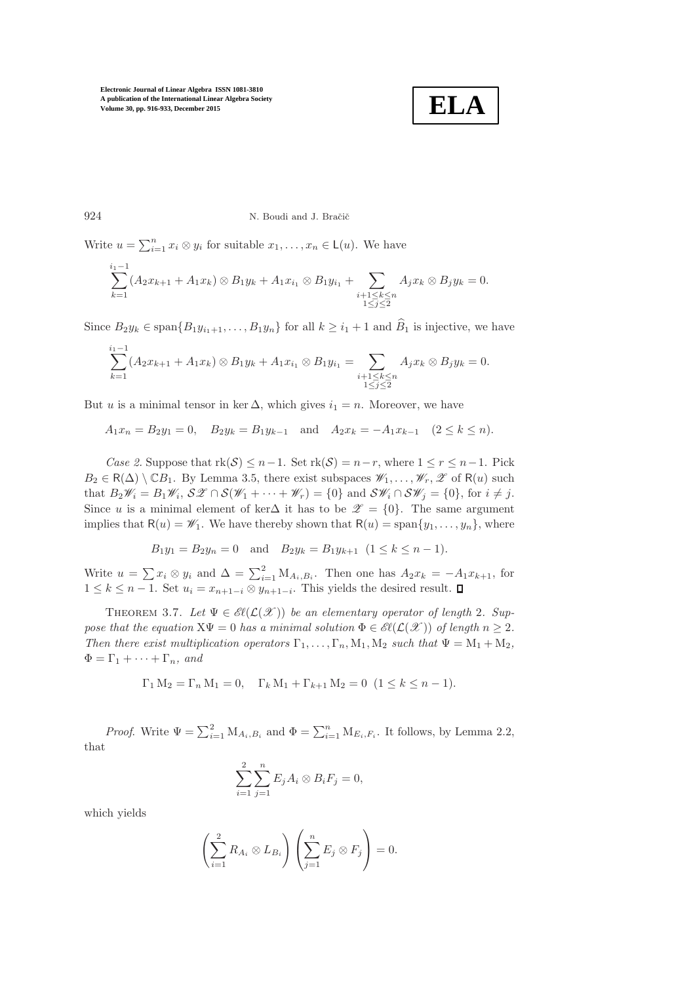

924 N. Boudi and J. Bračič

Write  $u = \sum_{i=1}^{n} x_i \otimes y_i$  for suitable  $x_1, \ldots, x_n \in \mathsf{L}(u)$ . We have

$$
\sum_{k=1}^{i_1-1} (A_2x_{k+1} + A_1x_k) \otimes B_1y_k + A_1x_{i_1} \otimes B_1y_{i_1} + \sum_{\substack{i+1 \le k \le n \\ 1 \le j \le 2}} A_jx_k \otimes B_jy_k = 0.
$$

Since  $B_2y_k \in \text{span}\{B_1y_{i_1+1},\ldots,B_1y_n\}$  for all  $k \geq i_1+1$  and  $\widehat{B}_1$  is injective, we have

$$
\sum_{k=1}^{i_1-1} (A_2 x_{k+1} + A_1 x_k) \otimes B_1 y_k + A_1 x_{i_1} \otimes B_1 y_{i_1} = \sum_{\substack{i+1 \le k \le n \\ 1 \le j \le 2}} A_j x_k \otimes B_j y_k = 0.
$$

But u is a minimal tensor in ker  $\Delta$ , which gives  $i_1 = n$ . Moreover, we have

$$
A_1x_n = B_2y_1 = 0
$$
,  $B_2y_k = B_1y_{k-1}$  and  $A_2x_k = -A_1x_{k-1}$   $(2 \le k \le n)$ .

Case 2. Suppose that  $rk(\mathcal{S}) \leq n-1$ . Set  $rk(\mathcal{S}) = n-r$ , where  $1 \leq r \leq n-1$ . Pick  $B_2 \in R(\Delta) \setminus \mathbb{C}B_1$ . By Lemma [3.5,](#page-4-0) there exist subspaces  $\mathscr{W}_1, \ldots, \mathscr{W}_r, \mathscr{Z}$  of  $R(u)$  such that  $B_2\mathscr{W}_i = B_1\mathscr{W}_i$ ,  $S\mathscr{Z} \cap S(\mathscr{W}_1 + \cdots + \mathscr{W}_r) = \{0\}$  and  $S\mathscr{W}_i \cap S\mathscr{W}_j = \{0\}$ , for  $i \neq j$ . Since u is a minimal element of ker∆ it has to be  $\mathscr{Z} = \{0\}$ . The same argument implies that  $R(u) = \mathscr{W}_1$ . We have thereby shown that  $R(u) = \text{span}\{y_1, \ldots, y_n\}$ , where

$$
B_1y_1 = B_2y_n = 0
$$
 and  $B_2y_k = B_1y_{k+1}$   $(1 \le k \le n-1)$ .

<span id="page-8-0"></span>Write  $u = \sum x_i \otimes y_i$  and  $\Delta = \sum_{i=1}^2 M_{A_i, B_i}$ . Then one has  $A_2 x_k = -A_1 x_{k+1}$ , for  $1 \leq k \leq n-1$ . Set  $u_i = x_{n+1-i} \otimes y_{n+1-i}$ . This yields the desired result.

THEOREM 3.7. Let  $\Psi \in \mathscr{E}(\mathcal{L}(\mathscr{X}))$  be an elementary operator of length 2. Suppose that the equation  $X\Psi = 0$  has a minimal solution  $\Phi \in \mathscr{E}\mathscr{U}(\mathcal{L}(\mathcal{X}))$  of length  $n \geq 2$ . Then there exist multiplication operators  $\Gamma_1, \ldots, \Gamma_n, M_1, M_2$  such that  $\Psi = M_1 + M_2$ ,  $\Phi = \Gamma_1 + \cdots + \Gamma_n$ , and

$$
\Gamma_1 M_2 = \Gamma_n M_1 = 0, \quad \Gamma_k M_1 + \Gamma_{k+1} M_2 = 0 \ (1 \le k \le n-1).
$$

*Proof.* Write  $\Psi = \sum_{i=1}^{2} M_{A_i, B_i}$  and  $\Phi = \sum_{i=1}^{n} M_{E_i, F_i}$ . It follows, by Lemma [2.2,](#page-2-0) that

$$
\sum_{i=1}^{2} \sum_{j=1}^{n} E_j A_i \otimes B_i F_j = 0,
$$

which yields

$$
\left(\sum_{i=1}^{2} R_{A_i} \otimes L_{B_i}\right) \left(\sum_{j=1}^{n} E_j \otimes F_j\right) = 0.
$$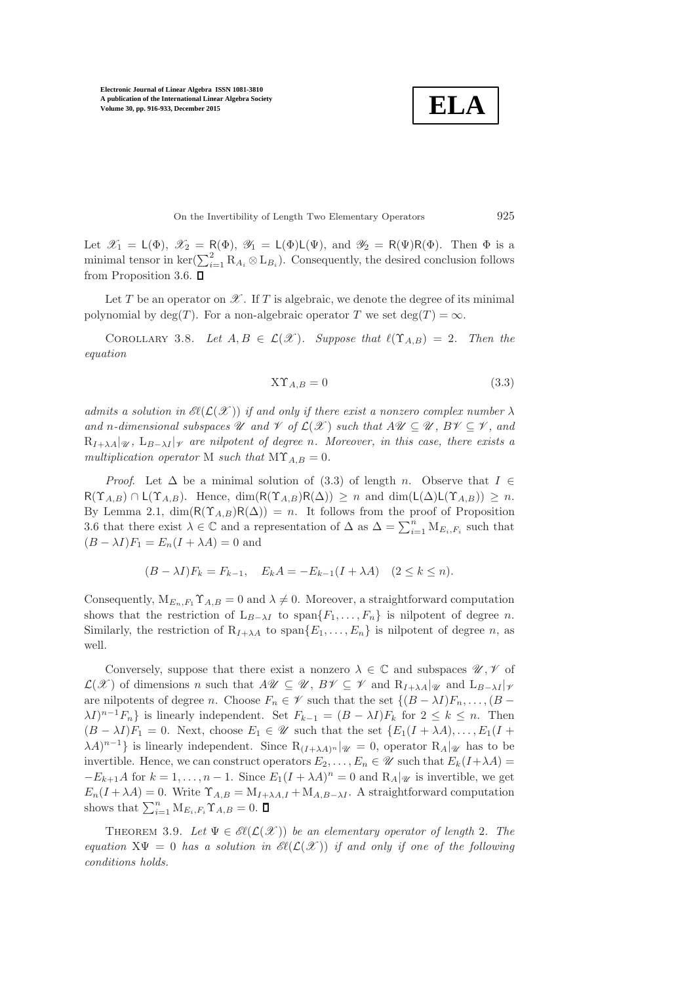$$
\boxed{\textbf{ELA}}
$$

On the Invertibility of Length Two Elementary Operators 925

Let  $\mathscr{X}_1 = \mathsf{L}(\Phi)$ ,  $\mathscr{X}_2 = \mathsf{R}(\Phi)$ ,  $\mathscr{Y}_1 = \mathsf{L}(\Phi)\mathsf{L}(\Psi)$ , and  $\mathscr{Y}_2 = \mathsf{R}(\Psi)\mathsf{R}(\Phi)$ . Then  $\Phi$  is a minimal tensor in  $\ker(\sum_{i=1}^{2} R_{A_i} \otimes L_{B_i})$ . Consequently, the desired conclusion follows from Proposition [3.6.](#page-7-0)  $\square$ 

Let T be an operator on  $\mathscr X$ . If T is algebraic, we denote the degree of its minimal polynomial by  $deg(T)$ . For a non-algebraic operator T we set  $deg(T) = \infty$ .

<span id="page-9-0"></span>COROLLARY 3.8. Let  $A, B \in \mathcal{L}(\mathcal{X})$ . Suppose that  $\ell(\Upsilon_{A,B}) = 2$ . Then the equation

$$
\mathbf{X}\Upsilon_{A,B} = 0\tag{3.3}
$$

admits a solution in  $\mathscr{E}(\mathcal{L}(\mathcal{X}))$  if and only if there exist a nonzero complex number  $\lambda$ and n-dimensional subspaces  $\mathcal U$  and  $\mathcal V$  of  $\mathcal L(\mathcal X)$  such that  $A\mathcal U \subseteq \mathcal U$ ,  $B\mathcal V \subseteq \mathcal V$ , and  $R_{I+\lambda A}|_{\mathscr{U}}$ ,  $L_{B-\lambda I}|_{\mathscr{V}}$  are nilpotent of degree n. Moreover, in this case, there exists a multiplication operator M such that  $MT_{A,B} = 0$ .

*Proof.* Let  $\Delta$  be a minimal solution of [\(3.3\)](#page-9-0) of length n. Observe that  $I \in$  $R(\Upsilon_{A,B}) \cap L(\Upsilon_{A,B})$ . Hence,  $\dim(R(\Upsilon_{A,B})R(\Delta)) \geq n$  and  $\dim(L(\Delta)L(\Upsilon_{A,B})) \geq n$ . By Lemma [2.1,](#page-2-1)  $\dim(R(\Upsilon_{A,B})R(\Delta)) = n$ . It follows from the proof of Proposition [3.6](#page-7-0) that there exist  $\lambda \in \mathbb{C}$  and a representation of  $\Delta$  as  $\Delta = \sum_{i=1}^{n} M_{E_i, F_i}$  such that  $(B - \lambda I)F_1 = E_n(I + \lambda A) = 0$  and

$$
(B - \lambda I)F_k = F_{k-1}, \quad E_k A = -E_{k-1}(I + \lambda A) \quad (2 \le k \le n).
$$

Consequently,  $M_{E_n,F_1}\Upsilon_{A,B}=0$  and  $\lambda\neq 0$ . Moreover, a straightforward computation shows that the restriction of  $L_{B-\lambda I}$  to span $\{F_1,\ldots,F_n\}$  is nilpotent of degree n. Similarly, the restriction of  $R_{I+\lambda A}$  to span $\{E_1, \ldots, E_n\}$  is nilpotent of degree n, as well.

Conversely, suppose that there exist a nonzero  $\lambda \in \mathbb{C}$  and subspaces  $\mathscr{U}, \mathscr{V}$  of  $\mathcal{L}(\mathscr{X})$  of dimensions n such that  $A\mathscr{U} \subseteq \mathscr{U}$ ,  $B\mathscr{V} \subseteq \mathscr{V}$  and  $R_{I+\lambda A}|_{\mathscr{U}}$  and  $L_{B-\lambda I}|_{\mathscr{V}}$ are nilpotents of degree n. Choose  $F_n \in \mathscr{V}$  such that the set  $\{(B - \lambda I)F_n, \ldots, (B - \lambda I)F_n\}$  $\lambda I)^{n-1}F_n$  is linearly independent. Set  $F_{k-1} = (B - \lambda I)F_k$  for  $2 \leq k \leq n$ . Then  $(B - \lambda I)F_1 = 0$ . Next, choose  $E_1 \in \mathscr{U}$  such that the set  $\{E_1(I + \lambda A), \ldots, E_1(I +$  $(\lambda A)^{n-1}$ } is linearly independent. Since  $R_{(I+\lambda A)^n}|\mathscr{U}=0$ , operator  $R_A|\mathscr{U}$  has to be invertible. Hence, we can construct operators  $E_2, \ldots, E_n \in \mathcal{U}$  such that  $E_k(I + \lambda A) =$  $-E_{k+1}A$  for  $k = 1, ..., n-1$ . Since  $E_1(I + \lambda A)^n = 0$  and  $R_A|\mathscr{U}$  is invertible, we get  $E_n(I + \lambda A) = 0$ . Write  $\Upsilon_{A,B} = M_{I + \lambda A,I} + M_{A,B-\lambda I}$ . A straightforward computation shows that  $\sum_{i=1}^{n} M_{E_i,F_i} \Upsilon_{A,B} = 0.$ 

<span id="page-9-1"></span>THEOREM 3.9. Let  $\Psi \in \mathcal{E}(\mathcal{L}(\mathcal{X}))$  be an elementary operator of length 2. The equation  $X\Psi = 0$  has a solution in  $\mathscr{B}(\mathcal{L}(\mathcal{X}))$  if and only if one of the following conditions holds.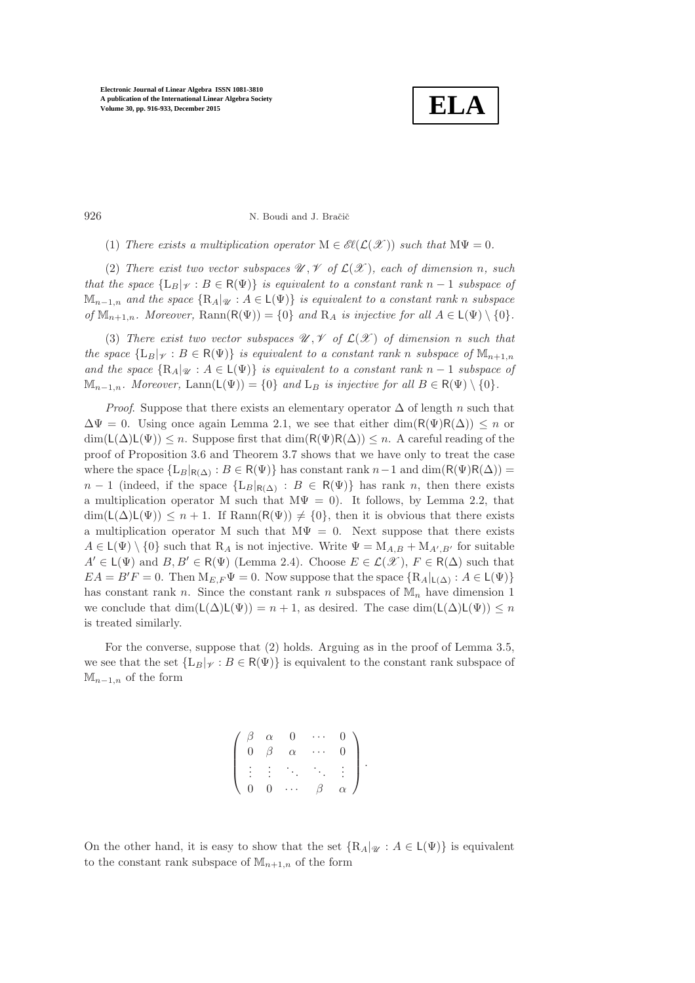**ELA**

926 N. Boudi and J. Bračič

(1) There exists a multiplication operator  $M \in \mathscr{E}\ell(\mathcal{L}(\mathscr{X}))$  such that  $M\Psi = 0$ .

(2) There exist two vector subspaces  $\mathscr{U}, \mathscr{V}$  of  $\mathcal{L}(\mathscr{X})$ , each of dimension n, such that the space  $\{L_B|\gamma : B \in \mathsf{R}(\Psi)\}\$ is equivalent to a constant rank n - 1 subspace of  $\mathbb{M}_{n-1,n}$  and the space  $\{R_A|\mathscr{U}:A\in\mathsf{L}(\Psi)\}\$ is equivalent to a constant rank n subspace of  $\mathbb{M}_{n+1,n}$ . Moreover,  $\text{Rann}(\mathsf{R}(\Psi)) = \{0\}$  and  $\mathsf{R}_A$  is injective for all  $A \in \mathsf{L}(\Psi) \setminus \{0\}$ .

(3) There exist two vector subspaces  $\mathscr{U}, \mathscr{V}$  of  $\mathcal{L}(\mathscr{X})$  of dimension n such that the space  $\{L_B|\gamma : B \in \mathsf{R}(\Psi)\}\$ is equivalent to a constant rank n subspace of  $\mathbb{M}_{n+1,n}$ and the space  ${R_A|\alpha : A \in L(\Psi)}$  is equivalent to a constant rank n – 1 subspace of  $\mathbb{M}_{n-1,n}$ . Moreover,  $\text{Lann}(\mathsf{L}(\Psi)) = \{0\}$  and  $\text{L}_B$  is injective for all  $B \in \mathsf{R}(\Psi) \setminus \{0\}$ .

*Proof.* Suppose that there exists an elementary operator  $\Delta$  of length n such that  $\Delta \Psi = 0$ . Using once again Lemma [2.1,](#page-2-1) we see that either dim(R( $\Psi$ )R( $\Delta$ ))  $\leq n$  or  $\dim(L(\Delta)L(\Psi)) \leq n$ . Suppose first that  $\dim(R(\Psi)R(\Delta)) \leq n$ . A careful reading of the proof of Proposition [3.6](#page-7-0) and Theorem [3.7](#page-8-0) shows that we have only to treat the case where the space  ${L_B|_{R(\Delta)} : B \in R(\Psi)}$  has constant rank  $n-1$  and  $dim(R(\Psi)R(\Delta))$  =  $n-1$  (indeed, if the space  ${L_B|_{R(\Delta)}} : B \in R(\Psi)$  has rank n, then there exists a multiplication operator M such that  $M\Psi = 0$ . It follows, by Lemma [2.2,](#page-2-0) that  $\dim(L(\Delta)L(\Psi)) \leq n+1$ . If  $\text{Rann}(\mathsf{R}(\Psi)) \neq \{0\}$ , then it is obvious that there exists a multiplication operator M such that  $M\Psi = 0$ . Next suppose that there exists  $A \in L(\Psi) \setminus \{0\}$  such that  $R_A$  is not injective. Write  $\Psi = M_{A,B} + M_{A',B'}$  for suitable  $A' \in L(\Psi)$  and  $B, B' \in R(\Psi)$  (Lemma [2.4\)](#page-3-2). Choose  $E \in \mathcal{L}(\mathcal{X}), F \in R(\Delta)$  such that  $EA = B'F = 0$ . Then  $M_{E,F}\Psi = 0$ . Now suppose that the space  $\{R_A|_{L(\Delta)} : A \in L(\Psi)\}\$ has constant rank n. Since the constant rank n subspaces of  $\mathbb{M}_n$  have dimension 1 we conclude that  $\dim(L(\Delta)L(\Psi)) = n + 1$ , as desired. The case  $\dim(L(\Delta)L(\Psi)) \leq n$ is treated similarly.

For the converse, suppose that (2) holds. Arguing as in the proof of Lemma [3.5,](#page-4-0) we see that the set  ${L_B|\gamma : B \in R(\Psi)}$  is equivalent to the constant rank subspace of  $\mathbb{M}_{n-1,n}$  of the form

| $\beta$        | $\alpha$ | $\left( \right)$ | D        |  |
|----------------|----------|------------------|----------|--|
| $\overline{0}$ | R        | $\alpha$         |          |  |
|                |          |                  |          |  |
| $\Omega$       | $\Omega$ |                  |          |  |
|                |          |                  | $\alpha$ |  |

On the other hand, it is easy to show that the set  ${R_A|\psi : A \in L(\Psi)}$  is equivalent to the constant rank subspace of  $\mathbb{M}_{n+1,n}$  of the form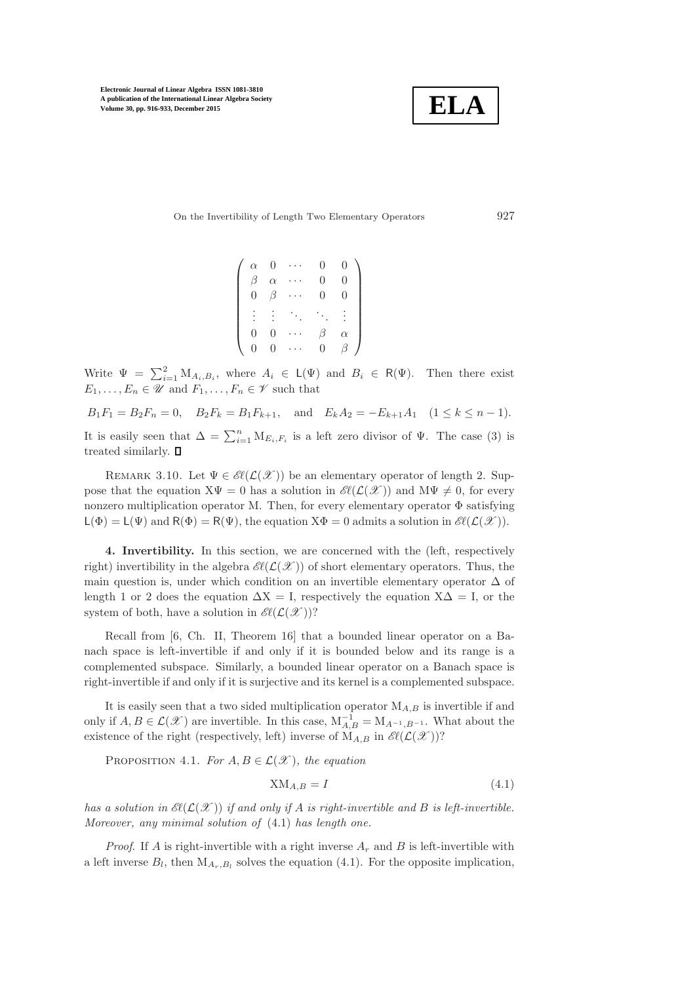

On the Invertibility of Length Two Elementary Operators 927

| $\alpha$ |          | $\overline{0}$ | 0           |
|----------|----------|----------------|-------------|
|          | $\alpha$ | 0              | 0           |
|          |          | $\theta$       | 0           |
|          |          |                |             |
|          |          |                | $^{\alpha}$ |
|          |          | O.             |             |

Write  $\Psi = \sum_{i=1}^{2} M_{A_i, B_i}$ , where  $A_i \in L(\Psi)$  and  $B_i \in R(\Psi)$ . Then there exist  $E_1, \ldots, E_n \in \mathcal{U}$  and  $F_1, \ldots, F_n \in \mathcal{V}$  such that

 $B_1F_1 = B_2F_n = 0$ ,  $B_2F_k = B_1F_{k+1}$ , and  $E_kA_2 = -E_{k+1}A_1$   $(1 \le k \le n-1)$ . It is easily seen that  $\Delta = \sum_{i=1}^{n} M_{E_i, F_i}$  is a left zero divisor of  $\Psi$ . The case (3) is treated similarly.  $\square$ 

REMARK 3.10. Let  $\Psi \in \mathcal{EU}(\mathcal{L}(\mathcal{X}))$  be an elementary operator of length 2. Suppose that the equation  $X\Psi = 0$  has a solution in  $\mathscr{E}(\mathcal{L}(\mathscr{X}))$  and  $M\Psi \neq 0$ , for every nonzero multiplication operator M. Then, for every elementary operator  $\Phi$  satisfying  $L(\Phi) = L(\Psi)$  and  $R(\Phi) = R(\Psi)$ , the equation  $X\Phi = 0$  admits a solution in  $\mathscr{U}(L(\mathscr{X}))$ .

<span id="page-11-0"></span>4. Invertibility. In this section, we are concerned with the (left, respectively right) invertibility in the algebra  $\mathscr{E}(\mathcal{L}(\mathscr{X}))$  of short elementary operators. Thus, the main question is, under which condition on an invertible elementary operator  $\Delta$  of length 1 or 2 does the equation  $\Delta X = I$ , respectively the equation  $X\Delta = I$ , or the system of both, have a solution in  $\mathscr{E}\ell(\mathcal{L}(\mathscr{X}))$ ?

Recall from [\[6,](#page-17-5) Ch. II, Theorem 16] that a bounded linear operator on a Banach space is left-invertible if and only if it is bounded below and its range is a complemented subspace. Similarly, a bounded linear operator on a Banach space is right-invertible if and only if it is surjective and its kernel is a complemented subspace.

It is easily seen that a two sided multiplication operator  $M_{A,B}$  is invertible if and only if  $A, B \in \mathcal{L}(\mathcal{X})$  are invertible. In this case,  $M_{A,B}^{-1} = M_{A^{-1},B^{-1}}$ . What about the existence of the right (respectively, left) inverse of  $M_{A,B}$  in  $\mathscr{E}\ell(\mathcal{L}(\mathscr{X}))$ ?

PROPOSITION 4.1. For  $A, B \in \mathcal{L}(\mathcal{X})$ , the equation

<span id="page-11-1"></span>
$$
XM_{A,B} = I
$$
\n
$$
(4.1)
$$

has a solution in  $\mathscr{E}(\mathcal{L}(\mathcal{X}))$  if and only if A is right-invertible and B is left-invertible. Moreover, any minimal solution of [\(4.1\)](#page-11-1) has length one.

*Proof.* If A is right-invertible with a right inverse  $A_r$  and B is left-invertible with a left inverse  $B_l$ , then  $M_{A_r,B_l}$  solves the equation [\(4.1\)](#page-11-1). For the opposite implication,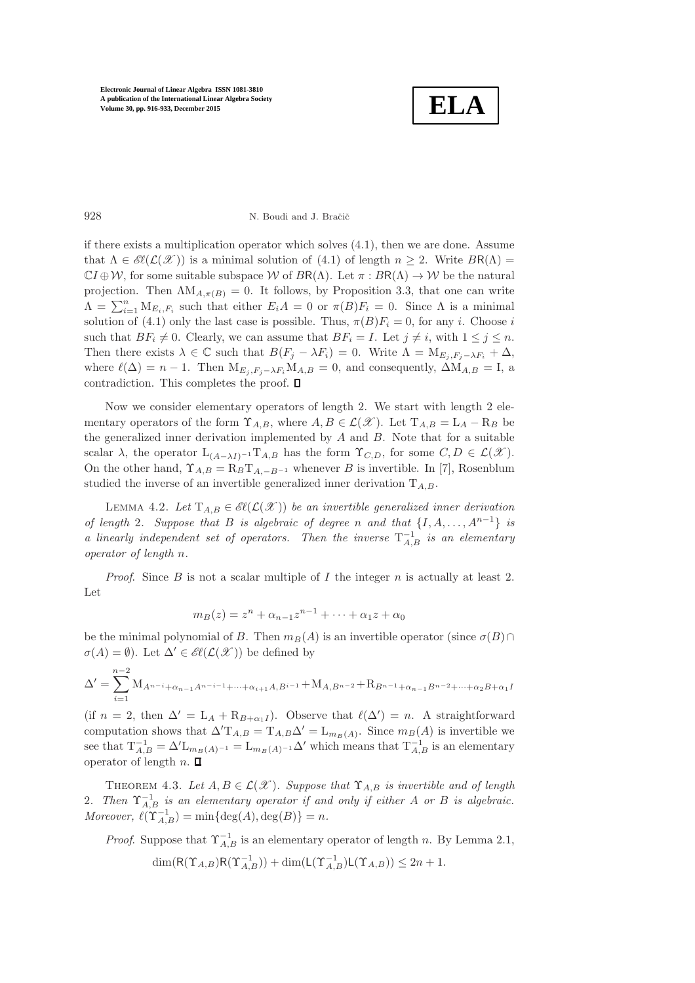

### 928 N. Boudi and J. Bračič

if there exists a multiplication operator which solves [\(4.1\)](#page-11-1), then we are done. Assume that  $\Lambda \in \mathscr{E}\ell(\mathcal{L}(\mathcal{X}))$  is a minimal solution of [\(4.1\)](#page-11-1) of length  $n \geq 2$ . Write  $BR(\Lambda)$  =  $\mathbb{C}I \oplus \mathcal{W}$ , for some suitable subspace W of  $BR(\Lambda)$ . Let  $\pi : BR(\Lambda) \to \mathcal{W}$  be the natural projection. Then  $\Lambda M_{A,\pi(B)} = 0$ . It follows, by Proposition [3.3,](#page-4-3) that one can write  $\Lambda = \sum_{i=1}^n M_{E_i, F_i}$  such that either  $E_i A = 0$  or  $\pi(B) F_i = 0$ . Since  $\Lambda$  is a minimal solution of [\(4.1\)](#page-11-1) only the last case is possible. Thus,  $\pi(B)F_i = 0$ , for any i. Choose i such that  $BF_i \neq 0$ . Clearly, we can assume that  $BF_i = I$ . Let  $j \neq i$ , with  $1 \leq j \leq n$ . Then there exists  $\lambda \in \mathbb{C}$  such that  $B(F_i - \lambda F_i) = 0$ . Write  $\Lambda = M_{E_i, F_i - \lambda F_i} + \Delta$ , where  $\ell(\Delta) = n - 1$ . Then  $M_{E_j, F_j - \lambda F_i} M_{A,B} = 0$ , and consequently,  $\Delta M_{A,B} = I$ , a contradiction. This completes the proof.  $\square$ 

Now we consider elementary operators of length 2. We start with length 2 elementary operators of the form  $\Upsilon_{A,B}$ , where  $A, B \in \mathcal{L}(\mathcal{X})$ . Let  $T_{A,B} = L_A - R_B$  be the generalized inner derivation implemented by  $A$  and  $B$ . Note that for a suitable scalar  $\lambda$ , the operator  $L_{(A-\lambda I)^{-1}}T_{A,B}$  has the form  $\Upsilon_{C,D}$ , for some  $C, D \in \mathcal{L}(\mathcal{X})$ . On the other hand,  $\Upsilon_{A,B} = R_B T_{A,-B^{-1}}$  whenever B is invertible. In [\[7\]](#page-17-6), Rosenblum studied the inverse of an invertible generalized inner derivation  $T_{A,B}$ .

<span id="page-12-0"></span>LEMMA 4.2. Let  $T_{A,B} \in \mathscr{E}(\mathcal{L}(\mathcal{X}))$  be an invertible generalized inner derivation of length 2. Suppose that B is algebraic of degree n and that  $\{I, A, \ldots, A^{n-1}\}\$  is a linearly independent set of operators. Then the inverse  $T_{A,B}^{-1}$  is an elementary operator of length n.

*Proof.* Since  $B$  is not a scalar multiple of  $I$  the integer  $n$  is actually at least 2. Let

$$
m_B(z) = z^n + \alpha_{n-1} z^{n-1} + \dots + \alpha_1 z + \alpha_0
$$

be the minimal polynomial of B. Then  $m_B(A)$  is an invertible operator (since  $\sigma(B) \cap$  $\sigma(A) = \emptyset$ ). Let  $\Delta' \in \mathscr{E}(\mathcal{L}(\mathcal{X}))$  be defined by

$$
\Delta' = \sum_{i=1}^{n-2} M_{A^{n-i} + \alpha_{n-1}A^{n-i-1} + \dots + \alpha_{i+1}A, B^{i-1}} + M_{A, B^{n-2}} + R_{B^{n-1} + \alpha_{n-1}B^{n-2} + \dots + \alpha_2B + \alpha_1I}
$$

(if  $n = 2$ , then  $\Delta' = L_A + R_{B+\alpha_1I}$ ). Observe that  $\ell(\Delta') = n$ . A straightforward computation shows that  $\Delta' T_{A,B} = T_{A,B} \Delta' = L_{m_B(A)}$ . Since  $m_B(A)$  is invertible we see that  $T_{A,B}^{-1} = \Delta' L_{m_B(A)^{-1}} = L_{m_B(A)^{-1}}\Delta'$  which means that  $T_{A,B}^{-1}$  is an elementary operator of length n.  $\Box$ 

<span id="page-12-1"></span>THEOREM 4.3. Let  $A, B \in \mathcal{L}(\mathcal{X})$ . Suppose that  $\Upsilon_{A,B}$  is invertible and of length 2. Then  $\Upsilon_{A,B}^{-1}$  is an elementary operator if and only if either A or B is algebraic. Moreover,  $\ell(\Upsilon_{A,B}^{-1}) = \min\{\deg(A), \deg(B)\} = n.$ 

*Proof.* Suppose that  $\Upsilon_{A,B}^{-1}$  is an elementary operator of length n. By Lemma [2.1,](#page-2-1)  $\dim(\mathsf{R}(\Upsilon_{A,B})\mathsf{R}(\Upsilon_{A,B}^{-1})) + \dim(\mathsf{L}(\Upsilon_{A,B}^{-1})\mathsf{L}(\Upsilon_{A,B})) \leq 2n+1.$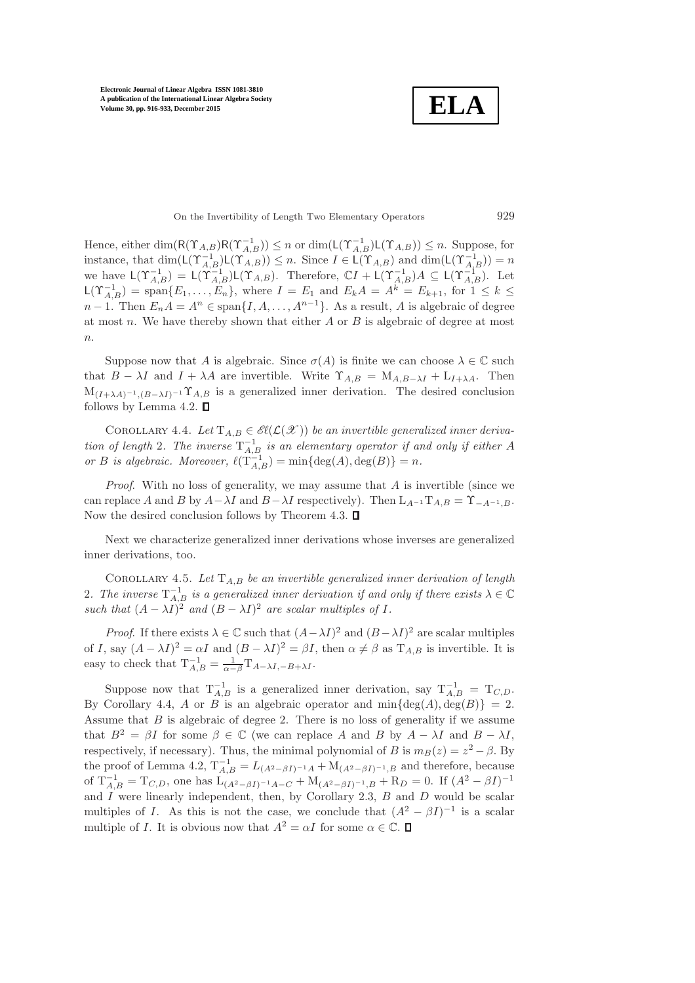**ELA** 

#### On the Invertibility of Length Two Elementary Operators 929

Hence, either  $\dim(\mathsf{R}(\Upsilon_{A,B})\mathsf{R}(\Upsilon_{A,B}^{-1})) \leq n$  or  $\dim(\mathsf{L}(\Upsilon_{A,B}^{-1})\mathsf{L}(\Upsilon_{A,B})) \leq n$ . Suppose, for instance, that  $\dim(\mathsf{L}(\Upsilon_{A,B}^{-1})\mathsf{L}(\Upsilon_{A,B})) \leq n$ . Since  $I \in \mathsf{L}(\Upsilon_{A,B})$  and  $\dim(\mathsf{L}(\Upsilon_{A,B}^{-1})) = n$ we have  $\mathsf{L}(\Upsilon_{A,B}^{-1}) = \mathsf{L}(\Upsilon_{A,B}^{-1})\mathsf{L}(\Upsilon_{A,B})$ . Therefore,  $\mathbb{C}I + \mathsf{L}(\Upsilon_{A,B}^{-1})A \subseteq \mathsf{L}(\Upsilon_{A,B}^{-1})$ . Let  $\mathsf{L}(\Upsilon_{A,B}^{-1}) = \text{span}\{E_1,\ldots,E_n\},\,\text{where}\,\,I = E_1\,\,\text{and}\,\,E_kA = A^k = E_{k+1},\,\text{for}\,\,1\leq k\leq k.$  $n-1$ . Then  $E_nA = A^n \in \text{span}\{I, A, \ldots, A^{n-1}\}\$ . As a result, A is algebraic of degree at most n. We have thereby shown that either  $A$  or  $B$  is algebraic of degree at most  $n$ .

Suppose now that A is algebraic. Since  $\sigma(A)$  is finite we can choose  $\lambda \in \mathbb{C}$  such that  $B - \lambda I$  and  $I + \lambda A$  are invertible. Write  $\Upsilon_{A,B} = M_{A,B-\lambda I} + L_{I+\lambda A}$ . Then  $M_{(I+\lambda A)^{-1},(B-\lambda I)^{-1}}$  $\Upsilon_{A,B}$  is a generalized inner derivation. The desired conclusion follows by Lemma [4.2.](#page-12-0)  $\square$ 

<span id="page-13-0"></span>COROLLARY 4.4. Let  $T_{A,B} \in \mathscr{E}\ell(\mathcal{L}(\mathscr{X}))$  be an invertible generalized inner derivation of length 2. The inverse  $T_{A,B}^{-1}$  is an elementary operator if and only if either A or B is algebraic. Moreover,  $\ell(T_{A,B}^{-1}) = \min\{\deg(A), \deg(B)\} = n$ .

*Proof.* With no loss of generality, we may assume that  $A$  is invertible (since we can replace A and B by  $A-\lambda I$  and  $B-\lambda I$  respectively). Then  $L_{A^{-1}}T_{A,B} = \Upsilon_{-A^{-1},B}$ . Now the desired conclusion follows by Theorem [4.3.](#page-12-1)  $\Box$ 

Next we characterize generalized inner derivations whose inverses are generalized inner derivations, too.

COROLLARY 4.5. Let  $T_{A,B}$  be an invertible generalized inner derivation of length 2. The inverse  $T_{A,B}^{-1}$  is a generalized inner derivation if and only if there exists  $\lambda \in \mathbb{C}$ such that  $(A - \lambda I)^2$  and  $(B - \lambda I)^2$  are scalar multiples of I.

*Proof.* If there exists  $\lambda \in \mathbb{C}$  such that  $(A - \lambda I)^2$  and  $(B - \lambda I)^2$  are scalar multiples of I, say  $(A - \lambda I)^2 = \alpha I$  and  $(B - \lambda I)^2 = \beta I$ , then  $\alpha \neq \beta$  as  $T_{A,B}$  is invertible. It is easy to check that  $T_{A,B}^{-1} = \frac{1}{\alpha - \beta} T_{A-\lambda I, -B+\lambda I}$ .

Suppose now that  $T_{A,B}^{-1}$  is a generalized inner derivation, say  $T_{A,B}^{-1} = T_{C,D}$ . By Corollary [4.4,](#page-13-0) A or B is an algebraic operator and  $\min{\{\deg(A), \deg(B)\}} = 2$ . Assume that  $B$  is algebraic of degree 2. There is no loss of generality if we assume that  $B^2 = \beta I$  for some  $\beta \in \mathbb{C}$  (we can replace A and B by  $A - \lambda I$  and  $B - \lambda I$ , respectively, if necessary). Thus, the minimal polynomial of B is  $m_B(z) = z^2 - \beta$ . By the proof of Lemma [4.2,](#page-12-0)  $T_{A,B}^{-1} = L_{(A^2 - \beta I)^{-1}A} + M_{(A^2 - \beta I)^{-1},B}$  and therefore, because of  $T_{A,B}^{-1} = T_{C,D}$ , one has  $L_{(A^2 - \beta I)^{-1}A-C} + M_{(A^2 - \beta I)^{-1},B} + R_D = 0$ . If  $(A^2 - \beta I)^{-1}$ and  $I$  were linearly independent, then, by Corollary [2.3,](#page-2-2)  $B$  and  $D$  would be scalar multiples of I. As this is not the case, we conclude that  $(A^2 - \beta I)^{-1}$  is a scalar multiple of I. It is obvious now that  $A^2 = \alpha I$  for some  $\alpha \in \mathbb{C}$ .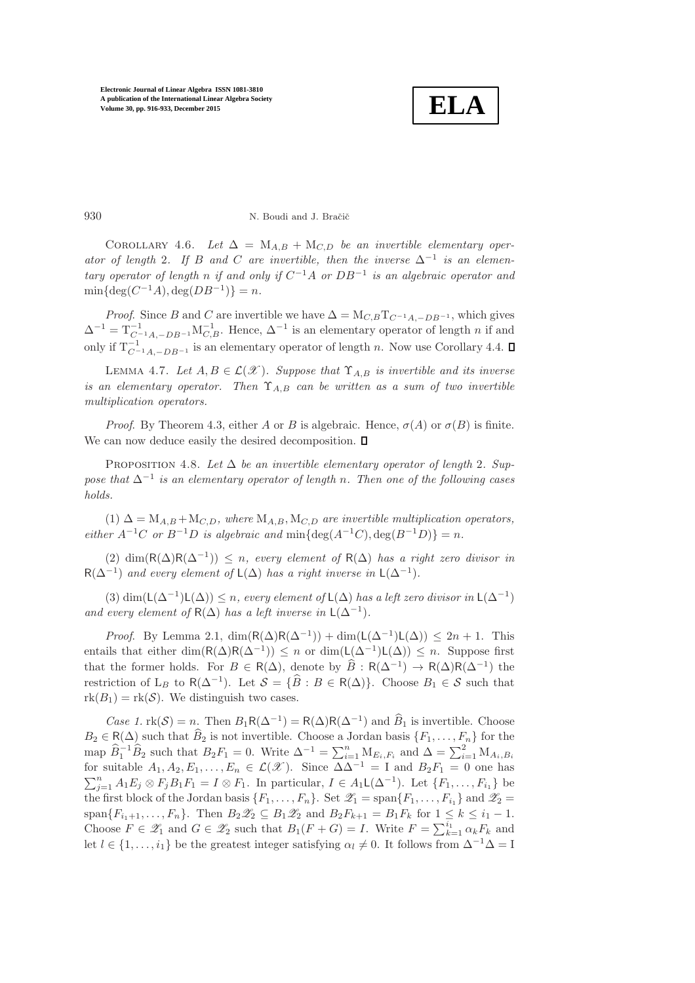

930 N. Boudi and J. Bračič

COROLLARY 4.6. Let  $\Delta = M_{A,B} + M_{C,D}$  be an invertible elementary operator of length 2. If B and C are invertible, then the inverse  $\Delta^{-1}$  is an elementary operator of length n if and only if  $C^{-1}A$  or  $DB^{-1}$  is an algebraic operator and  $\min\{\deg(C^{-1}A), \deg(DB^{-1})\} = n.$ 

*Proof.* Since B and C are invertible we have  $\Delta = M_{C,B}T_{C^{-1}A,-DB^{-1}}$ , which gives  $\Delta^{-1} = T_{C^{-1}A, -DB^{-1}}^{-1} M_{C, B}^{-1}$ . Hence,  $\Delta^{-1}$  is an elementary operator of length n if and only if  $T_{C^{-1}A, -DB^{-1}}^{-1}$  is an elementary operator of length n. Now use Corollary [4.4.](#page-13-0)

<span id="page-14-0"></span>LEMMA 4.7. Let  $A, B \in \mathcal{L}(\mathcal{X})$ . Suppose that  $\Upsilon_{A,B}$  is invertible and its inverse is an elementary operator. Then  $\Upsilon_{A,B}$  can be written as a sum of two invertible multiplication operators.

<span id="page-14-1"></span>*Proof.* By Theorem [4.3,](#page-12-1) either A or B is algebraic. Hence,  $\sigma(A)$  or  $\sigma(B)$  is finite. We can now deduce easily the desired decomposition.  $\square$ 

PROPOSITION 4.8. Let  $\Delta$  be an invertible elementary operator of length 2. Suppose that  $\Delta^{-1}$  is an elementary operator of length n. Then one of the following cases holds.

(1)  $\Delta = M_{A,B} + M_{C,D}$ , where  $M_{A,B}, M_{C,D}$  are invertible multiplication operators, either  $A^{-1}C$  or  $B^{-1}D$  is algebraic and min{deg( $A^{-1}C$ ), deg( $B^{-1}D$ )} = n.

(2) dim(R( $\Delta$ )R( $\Delta^{-1}$ ))  $\leq n$ , every element of R( $\Delta$ ) has a right zero divisor in  $R(\Delta^{-1})$  and every element of  $L(\Delta)$  has a right inverse in  $L(\Delta^{-1})$ .

(3) dim(L( $\Delta^{-1}$ )L( $\Delta$ ))  $\leq n$ , every element of L( $\Delta$ ) has a left zero divisor in L( $\Delta^{-1}$ ) and every element of  $R(\Delta)$  has a left inverse in  $L(\Delta^{-1})$ .

*Proof.* By Lemma [2.1,](#page-2-1)  $\dim(R(\Delta)R(\Delta^{-1})) + \dim(L(\Delta^{-1})L(\Delta)) \leq 2n + 1$ . This entails that either  $\dim(R(\Delta)R(\Delta^{-1})) \leq n$  or  $\dim(L(\Delta^{-1})L(\Delta)) \leq n$ . Suppose first that the former holds. For  $B \in R(\Delta)$ , denote by  $\widehat{B} : R(\Delta^{-1}) \to R(\Delta)R(\Delta^{-1})$  the restriction of L<sub>B</sub> to R( $\Delta^{-1}$ ). Let  $S = \{\widehat{B} : B \in R(\Delta)\}\$ . Choose  $B_1 \in S$  such that  $rk(B_1) = rk(\mathcal{S})$ . We distinguish two cases.

Case 1. rk(S) = n. Then  $B_1 \mathsf{R}(\Delta^{-1}) = \mathsf{R}(\Delta) \mathsf{R}(\Delta^{-1})$  and  $\widehat{B}_1$  is invertible. Choose  $B_2 \in \mathsf{R}(\Delta)$  such that  $\widehat{B}_2$  is not invertible. Choose a Jordan basis  $\{F_1, \ldots, F_n\}$  for the map  $\widehat{B}_1^{-1}\widehat{B}_2$  such that  $B_2F_1 = 0$ . Write  $\Delta^{-1} = \sum_{i=1}^n M_{E_i, F_i}$  and  $\Delta = \sum_{i=1}^2 M_{A_i, B_i}$ for suitable  $A_1, A_2, E_1, \ldots, E_n \in \mathcal{L}(\mathcal{X})$ . Since  $\Delta \Delta^{-1} = I$  and  $B_2F_1 = 0$  one has  $\sum_{j=1}^{n} A_1 E_j \otimes F_j B_1 F_1 = I \otimes F_1$ . In particular,  $I \in A_1 L(\Delta^{-1})$ . Let  $\{F_1, \ldots, F_{i_1}\}$  be the first block of the Jordan basis  $\{F_1, \ldots, F_n\}$ . Set  $\mathscr{Z}_1 = \text{span}\{F_1, \ldots, F_{i_1}\}$  and  $\mathscr{Z}_2 =$ span ${F_{i_1+1}, \ldots, F_n}$ . Then  $B_2\mathscr{Z}_2 \subseteq B_1\mathscr{Z}_2$  and  $B_2F_{k+1} = B_1F_k$  for  $1 \leq k \leq i_1 - 1$ . Choose  $F \in \mathscr{Z}_1$  and  $G \in \mathscr{Z}_2$  such that  $B_1(F+G) = I$ . Write  $F = \sum_{k=1}^{i_1} \alpha_k F_k$  and let  $l \in \{1, \ldots, i_1\}$  be the greatest integer satisfying  $\alpha_l \neq 0$ . It follows from  $\Delta^{-1}\Delta = I$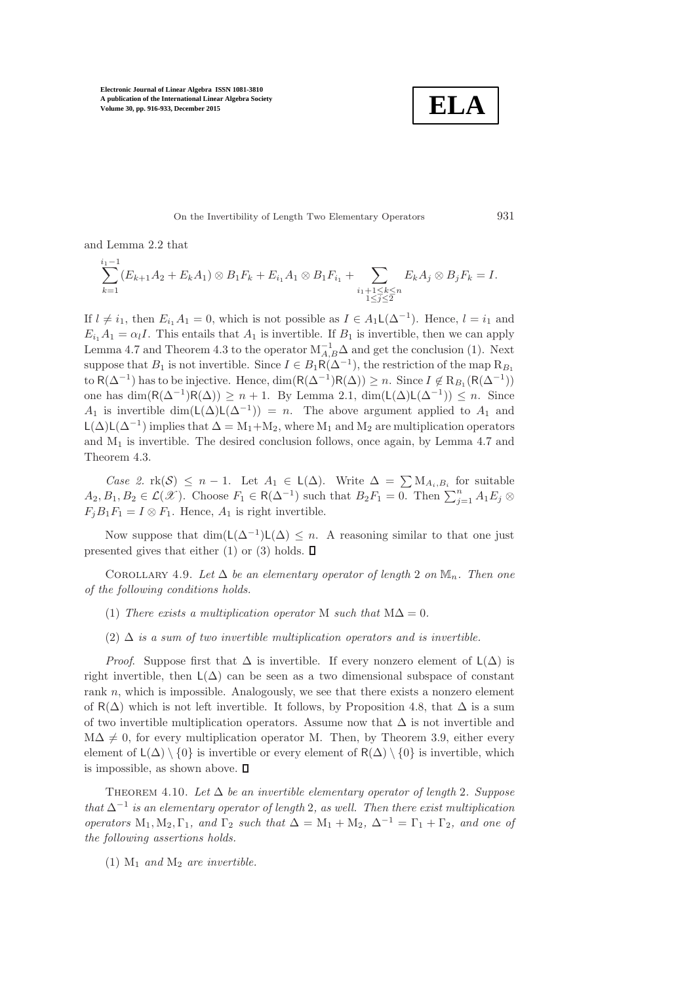**ELA**

On the Invertibility of Length Two Elementary Operators 931

and Lemma [2.2](#page-2-0) that

$$
\sum_{k=1}^{i_1-1} (E_{k+1}A_2 + E_k A_1) \otimes B_1 F_k + E_{i_1} A_1 \otimes B_1 F_{i_1} + \sum_{\substack{i_1+1 \leq k \leq n \\ 1 \leq j \leq 2}} E_k A_j \otimes B_j F_k = I.
$$

If  $l \neq i_1$ , then  $E_{i_1}A_1 = 0$ , which is not possible as  $I \in A_1 L(\Delta^{-1})$ . Hence,  $l = i_1$  and  $E_{i_1}A_1 = \alpha_l I$ . This entails that  $A_1$  is invertible. If  $B_1$  is invertible, then we can apply Lemma [4.7](#page-14-0) and Theorem [4.3](#page-12-1) to the operator  $M_{A,B}^{-1}\Delta$  and get the conclusion (1). Next suppose that  $B_1$  is not invertible. Since  $I \in B_1 \mathsf{R}(\Delta^{-1})$ , the restriction of the map  $\mathsf{R}_{B_1}$ to R( $\Delta^{-1}$ ) has to be injective. Hence, dim(R( $\Delta^{-1}$ )R( $\Delta$ )) ≥ n. Since  $I \notin R_{B_1}(R(\Delta^{-1}))$ one has  $\dim(R(\Delta^{-1})R(\Delta)) \geq n + 1$ . By Lemma [2.1,](#page-2-1)  $\dim(L(\Delta)L(\Delta^{-1})) \leq n$ . Since A<sub>1</sub> is invertible  $\dim(L(\Delta)L(\Delta^{-1})) = n$ . The above argument applied to A<sub>1</sub> and  $L(\Delta)L(\Delta^{-1})$  implies that  $\Delta = M_1 + M_2$ , where  $M_1$  and  $M_2$  are multiplication operators and  $M_1$  is invertible. The desired conclusion follows, once again, by Lemma [4.7](#page-14-0) and Theorem [4.3.](#page-12-1)

Case 2. rk(S)  $\leq n-1$ . Let  $A_1 \in L(\Delta)$ . Write  $\Delta = \sum M_{A_i,B_i}$  for suitable  $A_2, B_1, B_2 \in \mathcal{L}(\mathcal{X})$ . Choose  $F_1 \in R(\Delta^{-1})$  such that  $B_2F_1 = 0$ . Then  $\sum_{j=1}^n A_1 E_j \otimes$  $F_i B_1 F_1 = I \otimes F_1$ . Hence,  $A_1$  is right invertible.

Now suppose that  $\dim(L(\Delta^{-1})L(\Delta)) \leq n$ . A reasoning similar to that one just presented gives that either (1) or (3) holds.  $\Box$ 

COROLLARY 4.9. Let  $\Delta$  be an elementary operator of length 2 on  $\mathbb{M}_n$ . Then one of the following conditions holds.

- (1) There exists a multiplication operator M such that  $M\Delta = 0$ .
- (2)  $\Delta$  is a sum of two invertible multiplication operators and is invertible.

*Proof.* Suppose first that  $\Delta$  is invertible. If every nonzero element of  $L(\Delta)$  is right invertible, then  $L(\Delta)$  can be seen as a two dimensional subspace of constant rank n, which is impossible. Analogously, we see that there exists a nonzero element of R( $\Delta$ ) which is not left invertible. It follows, by Proposition [4.8,](#page-14-1) that  $\Delta$  is a sum of two invertible multiplication operators. Assume now that  $\Delta$  is not invertible and  $M\Delta \neq 0$ , for every multiplication operator M. Then, by Theorem [3.9,](#page-9-1) either every element of  $\mathsf{L}(\Delta) \setminus \{0\}$  is invertible or every element of  $\mathsf{R}(\Delta) \setminus \{0\}$  is invertible, which is impossible, as shown above.  $\square$ 

THEOREM 4.10. Let  $\Delta$  be an invertible elementary operator of length 2. Suppose that  $\Delta^{-1}$  is an elementary operator of length 2, as well. Then there exist multiplication operators  $M_1, M_2, \Gamma_1$ , and  $\Gamma_2$  such that  $\Delta = M_1 + M_2$ ,  $\Delta^{-1} = \Gamma_1 + \Gamma_2$ , and one of the following assertions holds.

(1)  $M_1$  and  $M_2$  are invertible.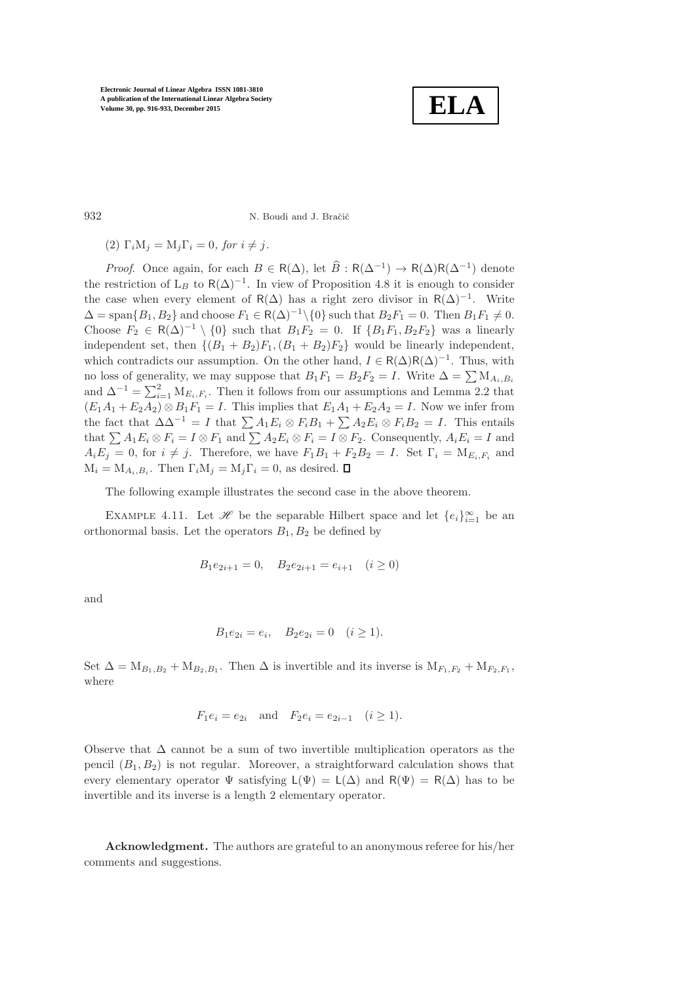

932 N. Boudi and J. Bračič

(2)  $\Gamma_i \mathbf{M}_i = \mathbf{M}_i \Gamma_i = 0$ , for  $i \neq j$ .

*Proof.* Once again, for each  $B \in R(\Delta)$ , let  $\widehat{B} : R(\Delta^{-1}) \to R(\Delta)R(\Delta^{-1})$  denote the restriction of L<sub>B</sub> to R( $\Delta$ )<sup>-1</sup>. In view of Proposition [4.8](#page-14-1) it is enough to consider the case when every element of R( $\Delta$ ) has a right zero divisor in R( $\Delta$ )<sup>-1</sup>. Write  $\Delta = \text{span}\{B_1, B_2\}$  and choose  $F_1 \in R(\Delta)^{-1} \setminus \{0\}$  such that  $B_2F_1 = 0$ . Then  $B_1F_1 \neq 0$ . Choose  $F_2 \in R(\Delta)^{-1} \setminus \{0\}$  such that  $B_1F_2 = 0$ . If  $\{B_1F_1, B_2F_2\}$  was a linearly independent set, then  $\{(B_1 + B_2)F_1, (B_1 + B_2)F_2\}$  would be linearly independent, which contradicts our assumption. On the other hand,  $I \in R(\Delta)R(\Delta)^{-1}$ . Thus, with no loss of generality, we may suppose that  $B_1F_1 = B_2F_2 = I$ . Write  $\Delta = \sum M_{A_i,B_i}$ and  $\Delta^{-1} = \sum_{i=1}^{2} M_{E_i, F_i}$ . Then it follows from our assumptions and Lemma [2.2](#page-2-0) that  $(E_1A_1 + E_2A_2) \otimes B_1F_1 = I$ . This implies that  $E_1A_1 + E_2A_2 = I$ . Now we infer from the fact that  $\Delta \Delta^{-1} = I$  that  $\sum A_1 E_i \otimes F_i B_1 + \sum A_2 E_i \otimes F_i B_2 = I$ . This entails that  $\sum A_1 E_i \otimes F_i = I \otimes F_1$  and  $\sum A_2 E_i \otimes F_i = I \otimes F_2$ . Consequently,  $A_i E_i = I$  and  $A_iE_j = 0$ , for  $i \neq j$ . Therefore, we have  $F_1B_1 + F_2B_2 = I$ . Set  $\Gamma_i = M_{E_i,F_i}$  and  $M_i = M_{A_i, B_i}$ . Then  $\Gamma_i M_j = M_j \Gamma_i = 0$ , as desired.

The following example illustrates the second case in the above theorem.

EXAMPLE 4.11. Let  $\mathscr H$  be the separable Hilbert space and let  $\{e_i\}_{i=1}^{\infty}$  be an orthonormal basis. Let the operators  $B_1, B_2$  be defined by

$$
B_1 e_{2i+1} = 0, \quad B_2 e_{2i+1} = e_{i+1} \quad (i \ge 0)
$$

and

$$
B_1e_{2i} = e_i, \quad B_2e_{2i} = 0 \quad (i \ge 1).
$$

Set  $\Delta = M_{B_1,B_2} + M_{B_2,B_1}$ . Then  $\Delta$  is invertible and its inverse is  $M_{F_1,F_2} + M_{F_2,F_1}$ , where

$$
F_1e_i = e_{2i}
$$
 and  $F_2e_i = e_{2i-1}$   $(i \ge 1)$ .

Observe that  $\Delta$  cannot be a sum of two invertible multiplication operators as the pencil  $(B_1, B_2)$  is not regular. Moreover, a straightforward calculation shows that every elementary operator  $\Psi$  satisfying  $L(\Psi) = L(\Delta)$  and  $R(\Psi) = R(\Delta)$  has to be invertible and its inverse is a length 2 elementary operator.

Acknowledgment. The authors are grateful to an anonymous referee for his/her comments and suggestions.